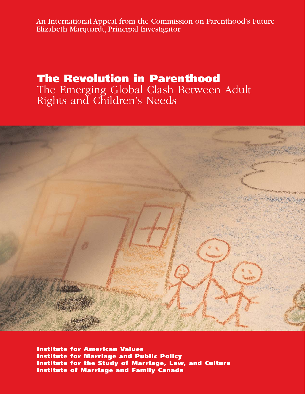An International Appeal from the Commission on Parenthood's Future Elizabeth Marquardt, Principal Investigator

# **The Revolution in Parenthood**

The Emerging Global Clash Between Adult Rights and Children's Needs



**Institute for American Values Institute for Marriage and Public Policy Institute for the Study of Marriage, Law, and Culture Institute of Marriage and Family Canada**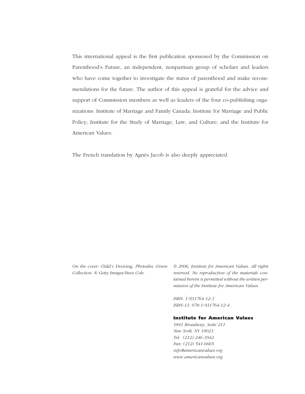This international appeal is the first publication sponsored by the Commission on Parenthood's Future, an independent, nonpartisan group of scholars and leaders who have come together to investigate the status of parenthood and make recommendations for the future. The author of this appeal is grateful for the advice and support of Commission members as well as leaders of the four co-publishing organizations: Institute of Marriage and Family Canada; Institute for Marriage and Public Policy; Institute for the Study of Marriage, Law, and Culture; and the Institute for American Values.

The French translation by Agnès Jacob is also deeply appreciated.

*On the cover:* Child's Drawing, *Photodisc Green Collection. © Getty Images/Steve Cole.*

*© 2006, Institute for American Values. All rights reserved. No reproduction of the materials contained herein is permitted without the written permission of the Institute for American Values.*

*ISBN: 1-931764-12-3 ISBN-13: 978-1-931764-12-4*

#### **Institute for American Values**

*1841 Broadway, Suite 211 New York, NY 10023 Tel: (212) 246-3942 Fax: (212) 541-6665 info@americanvalues.org www.americanvalues.org*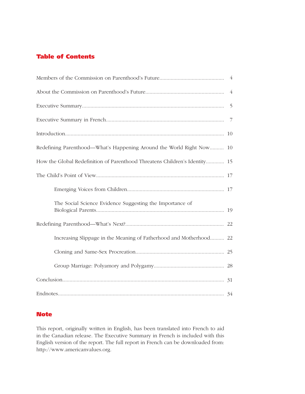# **Table of Contents**

|                                                                            | 5 |
|----------------------------------------------------------------------------|---|
|                                                                            |   |
|                                                                            |   |
| Redefining Parenthood—What's Happening Around the World Right Now 10       |   |
| How the Global Redefinition of Parenthood Threatens Children's Identity 15 |   |
|                                                                            |   |
|                                                                            |   |
| The Social Science Evidence Suggesting the Importance of                   |   |
|                                                                            |   |
| Increasing Slippage in the Meaning of Fatherhood and Motherhood 22         |   |
|                                                                            |   |
|                                                                            |   |
|                                                                            |   |
|                                                                            |   |

## **Note**

This report, originally written in English, has been translated into French to aid in the Canadian release. The Executive Summary in French is included with this English version of the report. The full report in French can be downloaded from: http://www.americanvalues.org.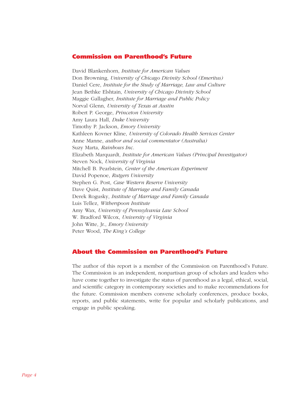## **Commission on Parenthood's Future**

David Blankenhorn, *Institute for American Values* Don Browning, *University of Chicago Divinity School (Emeritus)* Daniel Cere, *Institute for the Study of Marriage, Law and Culture* Jean Bethke Elshtain, *University of Chicago Divinity School*  Maggie Gallagher, *Institute for Marriage and Public Policy* Norval Glenn, *University of Texas at Austin* Robert P. George, *Princeton University* Amy Laura Hall, *Duke University* Timothy P. Jackson, *Emory University* Kathleen Kovner Kline, *University of Colorado Health Services Center* Anne Manne, *author and social commentator (Australia)* Suzy Marta, *Rainbows Inc*. Elizabeth Marquardt, *Institute for American Values (Principal Investigator)* Steven Nock, *University of Virginia* Mitchell B. Pearlstein, *Center of the American Experiment* David Popenoe, *Rutgers University* Stephen G. Post, *Case Western Reserve University* Dave Quist, *Institute of Marriage and Family Canada* Derek Rogusky, *Institute of Marriage and Family Canada* Luis Tellez, *Witherspoon Institute* Amy Wax, *University of Pennsylvania Law School* W. Bradford Wilcox, *University of Virginia* John Witte, Jr., *Emory University* Peter Wood, *The King's College*

## **About the Commission on Parenthood's Future**

The author of this report is a member of the Commission on Parenthood's Future. The Commission is an independent, nonpartisan group of scholars and leaders who have come together to investigate the status of parenthood as a legal, ethical, social, and scientific category in contemporary societies and to make recommendations for the future. Commission members convene scholarly conferences, produce books, reports, and public statements, write for popular and scholarly publications, and engage in public speaking.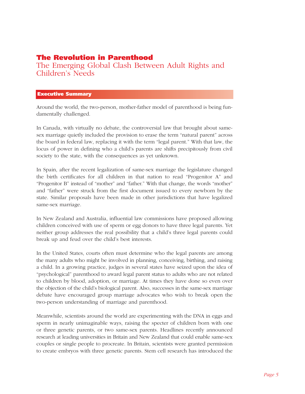# **The Revolution in Parenthood**

The Emerging Global Clash Between Adult Rights and Children's Needs

#### **Executive Summary**

Around the world, the two-person, mother-father model of parenthood is being fundamentally challenged.

In Canada, with virtually no debate, the controversial law that brought about samesex marriage quietly included the provision to erase the term "natural parent" across the board in federal law, replacing it with the term "legal parent." With that law, the locus of power in defining who a child's parents are shifts precipitously from civil society to the state, with the consequences as yet unknown.

In Spain, after the recent legalization of same-sex marriage the legislature changed the birth certificates for all children in that nation to read "Progenitor A" and "Progenitor B" instead of "mother" and "father." With that change, the words "mother" and "father" were struck from the first document issued to every newborn by the state. Similar proposals have been made in other jurisdictions that have legalized same-sex marriage.

In New Zealand and Australia, influential law commissions have proposed allowing children conceived with use of sperm or egg donors to have three legal parents. Yet neither group addresses the real possibility that a child's three legal parents could break up and feud over the child's best interests.

In the United States, courts often must determine who the legal parents are among the many adults who might be involved in planning, conceiving, birthing, and raising a child. In a growing practice, judges in several states have seized upon the idea of "psychological" parenthood to award legal parent status to adults who are not related to children by blood, adoption, or marriage. At times they have done so even over the objection of the child's biological parent. Also, successes in the same-sex marriage debate have encouraged group marriage advocates who wish to break open the two-person understanding of marriage and parenthood.

Meanwhile, scientists around the world are experimenting with the DNA in eggs and sperm in nearly unimaginable ways, raising the specter of children born with one or three genetic parents, or two same-sex parents. Headlines recently announced research at leading universities in Britain and New Zealand that could enable same-sex couples or single people to procreate. In Britain, scientists were granted permission to create embryos with three genetic parents. Stem cell research has introduced the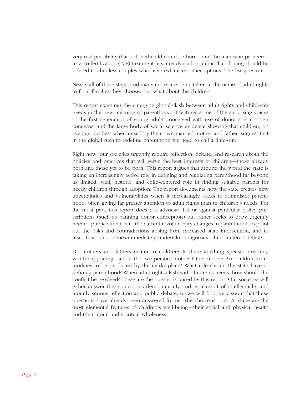very real possibility that a cloned child could be born—and the man who pioneered in vitro fertilization (IVF) treatment has already said in public that cloning should be offered to childless couples who have exhausted other options. The list goes on.

Nearly all of these steps, and many more, are being taken in the name of adult rights to form families they choose. But what about the children?

This report examines the emerging global clash between adult rights and children's needs in the new meaning of parenthood. It features some of the surprising voices of the first generation of young adults conceived with use of donor sperm. Their concerns, and the large body of social science evidence showing that children, on average, do best when raised by their own married mother and father, suggest that in the global rush to redefine parenthood we need to call a time-out.

Right now, our societies urgently require reflection, debate, and research about the policies and practices that will serve the best interests of children—those already born and those yet to be born. This report argues that around the world the state is taking an increasingly active role in defining and regulating parenthood far beyond its limited, vital, historic, and child-centered role in finding suitable parents for needy children through adoption. The report documents how the state creates new uncertainties and vulnerabilities when it increasingly seeks to administer parenthood, often giving far greater attention to adult rights than to children's needs. For the most part, this report does not advocate for or against particular policy prescriptions (such as banning donor conception) but rather seeks to draw urgently needed public attention to the current revolutionary changes in parenthood, to point out the risks and contradictions arising from increased state intervention, and to insist that our societies immediately undertake a vigorous, child-centered debate.

Do mothers and fathers matter to children? Is there anything special—anything worth supporting—about the two-person, mother-father model? Are children commodities to be produced by the marketplace? What role should the state have in defining parenthood? When adult rights clash with children's needs, how should the conflict be resolved? These are the questions raised by this report. Our societies will either answer these questions democratically and as a result of intellectually and morally serious reflection and public debate, or we will find, very soon, that these questions have already been answered for us. The choice is ours. At stake are the most elemental features of children's well-being—their social and physical health and their moral and spiritual wholeness.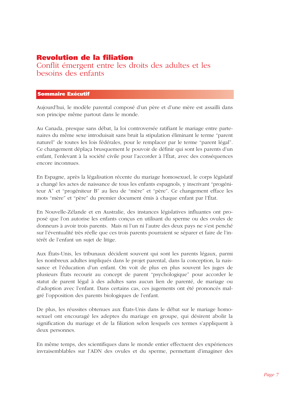# **Revolution de la filiation**

Conflit émergent entre les droits des adultes et les besoins des enfants

#### **Sommaire Exécutif**

Aujourd'hui, le modèle parental composé d'un père et d'une mère est assailli dans son principe même partout dans le monde.

Au Canada, presque sans débat, la loi controversée ratifiant le mariage entre partenaires du même sexe introduisait sans bruit la stipulation éliminant le terme "parent naturel" de toutes les lois fédérales, pour le remplacer par le terme "parent légal". Ce changement déplaça brusquement le pouvoir de définir qui sont les parents d'un enfant, l'enlevant à la société civile pour l'accorder à l'État, avec des conséquences encore inconnues.

En Espagne, après la légalisation récente du mariage homosexuel, le corps législatif a changé les actes de naissance de tous les enfants espagnols, y inscrivant "progéniteur A" et "progéniteur B" au lieu de "mère" et "père". Ce changement efface les mots "mère" et "père" du premier document émis à chaque enfant par l'État.

En Nouvelle-Zélande et en Australie, des instances législatives influantes ont proposé que l'on autorise les enfants conçus en utilisant du sperme ou des ovules de donneurs à avoir trois parents. Mais ni l'un ni l'autre des deux pays ne s'est penché sur l'éventualité très réelle que ces trois parents pourraient se séparer et faire de l'intérêt de l'enfant un sujet de litige.

Aux États-Unis, les tribunaux décident souvent qui sont les parents légaux, parmi les nombreux adultes impliqués dans le projet parental, dans la conception, la naissance et l'éducation d'un enfant. On voit de plus en plus souvent les juges de plusieurs États recourir au concept de parent "psychologique" pour accorder le statut de parent légal à des adultes sans aucun lien de parenté, de mariage ou d'adoption avec l'enfant. Dans certains cas, ces jugements ont été prononcés malgré l'opposition des parents biologiques de l'enfant.

De plus, les réussites obtenues aux États-Unis dans le débat sur le mariage homosexuel ont encouragé les adeptes du mariage en groupe, qui désirent abolir la signification du mariage et de la filiation selon lesquels ces termes s'appliquent à deux personnes.

En même temps, des scientifiques dans le monde entier effectuent des expériences invraisemblables sur l'ADN des ovules et du sperme, permettant d'imaginer des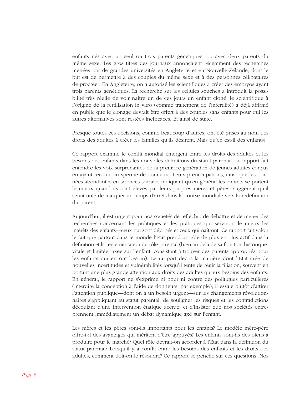enfants nés avec un seul ou trois parents génétiques, ou avec deux parents du même sexe. Les gros titres des journaux annonçaient récemment des recherches menées par de grandes universités en Angleterre et en Nouvelle-Zélande, dont le but est de permettre à des couples du même sexe et à des personnes célibataires de procréer. En Angleterre, on a autorisé les scientifiques à créer des embryos ayant trois parents génétiques. La recherche sur les cellules souches a introduit la possibilité très réelle de voir naître un de ces jours un enfant cloné; le scientifique à l'origine de la fertilisation in vitro (comme traitement de l'infertilité) a déjà affirmé en public que le clonage devrait être offert à des couples sans enfants pour qui les autres alternatives sont restées inefficaces. Et ainsi de suite.

Presque toutes ces décisions, comme beaucoup d'autres, ont été prises au nom des droits des adultes à créer les familles qu'ils désirent. Mais qu'en est-il des enfants?

Ce rapport examine le conflit mondial émergent entre les droits des adultes et les besoins des enfants dans les nouvelles définitions du statut parental. Le rapport fait entendre les voix surprenantes de la première génération de jeunes adultes conçus en ayant recours au sperme de donneurs. Leurs préoccupations, ainsi que les données abondantes en sciences sociales indiquant qu'en général les enfants se portent le mieux quand ils sont élevés par leurs propres mères et pères, suggèrent qu'il serait utile de marquer un temps d'arrêt dans la course mondiale vers la redéfinition du parent.

Aujourd'hui, il est urgent pour nos sociétés de réfléchir, de débattre et de mener des recherches concernant les politiques et les pratiques qui serviront le mieux les intérêts des enfants—ceux qui sont déjà nés et ceux qui naîtront. Ce rapport fait valoir le fait que partout dans le monde l'Etat prend un rôle de plus en plus actif dans la définition et la réglementation du rôle parental (bien au-delà de sa fonction historique, vitale et limitée, axée sur l'enfant, consistant à trouver des parents appropriés pour les enfants qui en ont besoin). Le rapport décrit la manière dont l'Etat crée de nouvelles incertitudes et vulnérabilités lorsqu'il tente de régir la filiation, souvent en portant une plus grande attention aux droits des adultes qu'aux besoins des enfants. En général, le rapport ne s'exprime ni pour ni contre des politiques particulières (interdire la conception à l'aide de donneurs, par exemple); il essaie plutôt d'attirer l'attention publique—dont on a un besoin urgent—sur les changements révolutionnaires s'appliquant au statut parental, de souligner les risques et les contradictions découlant d'une intervention étatique accrue, et d'insister que nos sociétés entreprennent immédiatement un débat dynamique axé sur l'enfant.

Les mères et les pères sont-ils importants pour les enfants? Le modèle mère-père offre-t-il des avantages qui méritent d'être appuyés? Les enfants sont-ils des biens à produire pour le marché? Quel rôle devrait-on accorder à l'État dans la définition du statut parental? Lorsqu'il y a conflit entre les besoins des enfants et les droits des adultes, comment doit-on le résoudre? Ce rapport se penche sur ces questions. Nos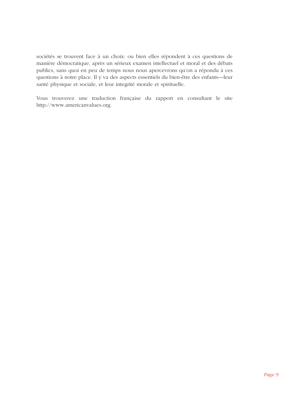sociétés se trouvent face à un choix: ou bien elles répondent à ces questions de manière démocratique, après un sérieux examen intellectuel et moral et des débats publics, sans quoi en peu de temps nous nous apercevrons qu'on a répondu à ces questions à notre place. Il y va des aspects essentiels du bien-être des enfants—leur santé physique et sociale, et leur integrité morale et spirituelle.

Vous trouverez une traduction française du rapport en consultant le site http://www.americanvalues.org.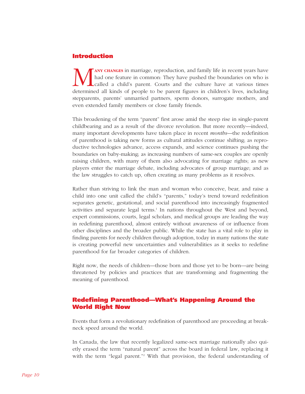# **Introduction**

MANY CHANGES in marriage, reproduction, and family life in recent years have<br>had one feature in common: They have pushed the boundaries on who is<br>called a child's parent. Courts and the culture have at various times<br>determ had one feature in common: They have pushed the boundaries on who is called a child's parent. Courts and the culture have at various times determined all kinds of people to be parent figures in children's lives, including stepparents, parents' unmarried partners, sperm donors, surrogate mothers, and even extended family members or close family friends.

This broadening of the term "parent" first arose amid the steep rise in single-parent childbearing and as a result of the divorce revolution. But more recently—indeed, many important developments have taken place in recent *months*—the redefinition of parenthood is taking new forms as cultural attitudes continue shifting; as reproductive technologies advance, access expands, and science continues pushing the boundaries on baby-making; as increasing numbers of same-sex couples are openly raising children, with many of them also advocating for marriage rights; as new players enter the marriage debate, including advocates of group marriage; and as the law struggles to catch up, often creating as many problems as it resolves.

Rather than striving to link the man and woman who conceive, bear, and raise a child into one unit called the child's "parents," today's trend toward redefinition separates genetic, gestational, and social parenthood into increasingly fragmented activities and separate legal terms.<sup>1</sup> In nations throughout the West and beyond, expert commissions, courts, legal scholars, and medical groups are leading the way in redefining parenthood, almost entirely without awareness of or influence from other disciplines and the broader public. While the state has a vital role to play in finding parents for needy children through adoption, today in many nations the state is creating powerful new uncertainties and vulnerabilities as it seeks to redefine parenthood for far broader categories of children.

Right now, the needs of children—those born and those yet to be born—are being threatened by policies and practices that are transforming and fragmenting the meaning of parenthood.

# **Redefining Parenthood—What's Happening Around the World Right Now**

Events that form a revolutionary redefinition of parenthood are proceeding at breakneck speed around the world.

In Canada, the law that recently legalized same-sex marriage nationally also quietly erased the term "natural parent" across the board in federal law, replacing it with the term "legal parent."<sup>2</sup> With that provision, the federal understanding of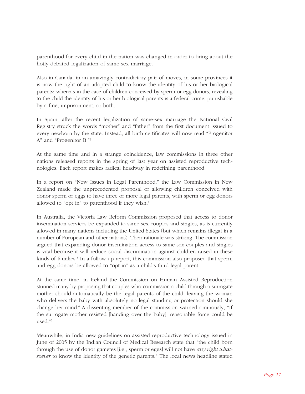parenthood for every child in the nation was changed in order to bring about the hotly-debated legalization of same-sex marriage.

Also in Canada, in an amazingly contradictory pair of moves, in some provinces it is now the right of an adopted child to know the identity of his or her biological parents; whereas in the case of children conceived by sperm or egg donors, revealing to the child the identity of his or her biological parents is a federal crime, punishable by a fine, imprisonment, or both.

In Spain, after the recent legalization of same-sex marriage the National Civil Registry struck the words "mother" and "father" from the first document issued to every newborn by the state. Instead, all birth certificates will now read "Progenitor A" and "Progenitor B."3

At the same time and in a strange coincidence, law commissions in three other nations released reports in the spring of last year on assisted reproductive technologies. Each report makes radical headway in redefining parenthood.

In a report on "New Issues in Legal Parenthood," the Law Commission in New Zealand made the unprecedented proposal of allowing children conceived with donor sperm or eggs to have three or more legal parents, with sperm or egg donors allowed to "opt in" to parenthood if they wish.<sup>4</sup>

In Australia, the Victoria Law Reform Commission proposed that access to donor insemination services be expanded to same-sex couples and singles, as is currently allowed in many nations including the United States (but which remains illegal in a number of European and other nations). Their rationale was striking. The commission argued that expanding donor insemination access to same-sex couples and singles is vital because it will reduce social discrimination against children raised in these kinds of families.<sup>5</sup> In a follow-up report, this commission also proposed that sperm and egg donors be allowed to "opt in" as a child's third legal parent.

At the same time, in Ireland the Commission on Human Assisted Reproduction stunned many by proposing that couples who commission a child through a surrogate mother should automatically be the legal parents of the child, leaving the woman who delivers the baby with absolutely no legal standing or protection should she change her mind.6 A dissenting member of the commission warned ominously, "If the surrogate mother resisted [handing over the baby], reasonable force could be used."7

Meanwhile, in India new guidelines on assisted reproductive technology issued in June of 2005 by the Indian Council of Medical Research state that "the child born through the use of donor gametes [i.e., sperm or eggs] will not have *any right whatsoever* to know the identity of the genetic parents." The local news headline stated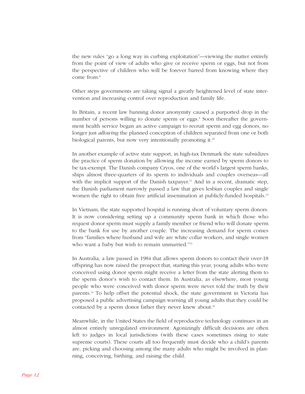the new rules "go a long way in curbing exploitation"—viewing the matter entirely from the point of view of adults who give or receive sperm or eggs, but not from the perspective of children who will be forever barred from knowing where they come from.8

Other steps governments are taking signal a greatly heightened level of state intervention and increasing control over reproduction and family life.

In Britain, a recent law banning donor anonymity caused a purported drop in the number of persons willing to donate sperm or eggs.<sup>9</sup> Soon thereafter the government health service began an active campaign to recruit sperm and egg donors, no longer just *allowing* the planned conception of children separated from one or both biological parents, but now very intentionally promoting it.<sup>10</sup>

In another example of active state support, in high-tax Denmark the state subsidizes the practice of sperm donation by allowing the income earned by sperm donors to be tax-exempt. The Danish company Cryos, one of the world's largest sperm banks, ships almost three-quarters of its sperm to individuals and couples overseas—all with the implicit support of the Danish taxpayer.<sup>11</sup> And in a recent, dramatic step, the Danish parliament narrowly passed a law that gives lesbian couples and single women the right to obtain free artificial insemination at publicly-funded hospitals.<sup>12</sup>

In Vietnam, the state supported hospital is running short of voluntary sperm donors. It is now considering setting up a community sperm bank in which those who request donor sperm must supply a family member or friend who will donate sperm to the bank for use by another couple. The increasing demand for sperm comes from "families where husband and wife are white collar workers, and single women who want a baby but wish to remain unmarried."<sup>13</sup>

In Australia, a law passed in 1984 that allows sperm donors to contact their over-18 offspring has now raised the prospect that, starting this year, young adults who were conceived using donor sperm might receive a letter from the state alerting them to the sperm donor's wish to contact them. In Australia, as elsewhere, most young people who were conceived with donor sperm were never told the truth by their parents.14 To help offset the potential shock, the state government in Victoria has proposed a public advertising campaign warning all young adults that they could be contacted by a sperm donor father they never knew about.<sup>15</sup>

Meanwhile, in the United States the field of reproductive technology continues in an almost entirely unregulated environment. Agonizingly difficult decisions are often left to judges in local jurisdictions (with these cases sometimes rising to state supreme courts). These courts all too frequently must decide who a child's parents are, picking and choosing among the many adults who might be involved in planning, conceiving, birthing, and raising the child.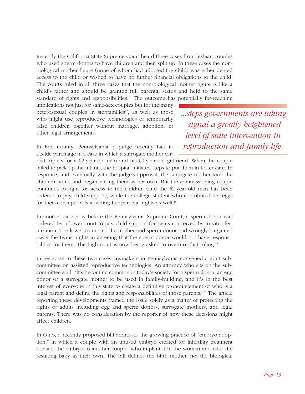Recently the California State Supreme Court heard three cases from lesbian couples who used sperm donors to have children and then split up. In these cases the nonbiological mother figure (none of whom had adopted the child) was either denied access to the child or wished to have no further financial obligations to the child. The courts ruled in all three cases that the non-biological mother figure is like a child's father and should be granted full parental status and held to the same standard of rights and responsibilities.16 The outcome has potentially far-reaching

implications not just for same-sex couples but for the many heterosexual couples in stepfamilies<sup>17</sup>, as well as those who might use reproductive technologies or temporarily raise children together without marriage, adoption, or other legal arrangements.

In Erie County, Pennsylvania, a judge recently had to decide parentage in a case in which a surrogate mother car*...steps governments are taking signal a greatly heightened level of state intervention in reproduction and family life.*

ried triplets for a 62-year-old man and his 60-year-old girlfriend. When the couple failed to pick up the infants, the hospital initiated steps to put them in foster care. In response, and eventually with the judge's approval, the surrogate mother took the children home and began raising them as her own. But the commissioning couple continues to fight for access to the children (and the 62-year-old man has been ordered to pay child support), while the college student who contributed her eggs for their conception is asserting her parental rights as well.<sup>18</sup>

In another case now before the Pennsylvania Supreme Court, a sperm donor was ordered by a lower court to pay child support for twins conceived by in vitro fertilization. The lower court said the mother and sperm donor had wrongly bargained away the twins' rights in agreeing that the sperm donor would not have responsibilities for them. The high court is now being asked to overturn that ruling.<sup>19</sup>

In response to these two cases lawmakers in Pennsylvania convened a joint subcommittee on assisted reproductive technologies. An attorney who sits on the subcommittee said, "It's becoming common in today's society for a sperm donor, an egg donor or a surrogate mother to be used in family-building, and it's in the best interest of everyone in this state to create a definitive pronouncement of who is a legal parent and define the rights and responsibilities of those parents."<sup>20</sup> The article reporting these developments framed the issue solely as a matter of protecting the rights of adults including egg and sperm donors, surrogate mothers, and legal parents. There was no consideration by the reporter of how these decisions might affect children.

In Ohio, a recently proposed bill addresses the growing practice of "embryo adoption," in which a couple with an unused embryo created for infertility treatment donates the embryo to another couple, who implant it in the woman and raise the resulting baby as their own. The bill defines the birth mother, not the biological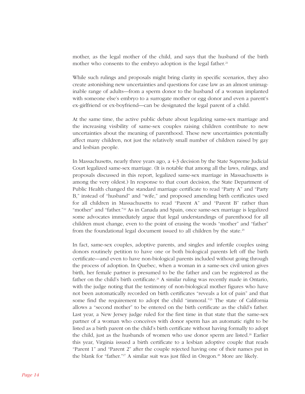mother, as the legal mother of the child, and says that the husband of the birth mother who consents to the embryo adoption is the legal father.<sup>21</sup>

While such rulings and proposals might bring clarity in specific scenarios, they also create astonishing new uncertainties and questions for case law as an almost unimaginable range of adults—from a sperm donor to the husband of a woman implanted with someone else's embryo to a surrogate mother or egg donor and even a parent's ex-girlfriend or ex-boyfriend—can be designated the legal parent of a child.

At the same time, the active public debate about legalizing same-sex marriage and the increasing visibility of same-sex couples raising children contribute to new uncertainties about the meaning of parenthood. These new uncertainties potentially affect many children, not just the relatively small number of children raised by gay and lesbian people.

In Massachusetts, nearly three years ago, a 4-3 decision by the State Supreme Judicial Court legalized same-sex marriage. (It is notable that among all the laws, rulings, and proposals discussed in this report, legalized same-sex marriage in Massachusetts is among the very oldest.) In response to that court decision, the State Department of Public Health changed the standard marriage certificate to read "Party A" and "Party B," instead of "husband" and "wife," and proposed amending birth certificates used for all children in Massachusetts to read "Parent A" and "Parent B" rather than "mother" and "father."22 As in Canada and Spain, once same-sex marriage is legalized some advocates immediately argue that legal understandings of parenthood for all children must change, even to the point of erasing the words "mother" and "father" from the foundational legal document issued to all children by the state.<sup>23</sup>

In fact, same-sex couples, adoptive parents, and singles and infertile couples using donors routinely petition to have one or both biological parents left off the birth certificate—and even to have non-biological parents included without going through the process of adoption. In Quebec, when a woman in a same-sex civil union gives birth, her female partner is presumed to be the father and can be registered as the father on the child's birth certificate.<sup>24</sup> A similar ruling was recently made in Ontario, with the judge noting that the testimony of non-biological mother figures who have not been automatically recorded on birth certificates "reveals a lot of pain" and that some find the requirement to adopt the child "immoral."<sup>25</sup> The state of California allows a "second mother" to be entered on the birth certificate as the child's father. Last year, a New Jersey judge ruled for the first time in that state that the same-sex partner of a woman who conceives with donor sperm has an automatic right to be listed as a birth parent on the child's birth certificate without having formally to adopt the child, just as the husbands of women who use donor sperm are listed.<sup>26</sup> Earlier this year, Virginia issued a birth certificate to a lesbian adoptive couple that reads "Parent 1" and "Parent 2" after the couple rejected having one of their names put in the blank for "father."27 A similar suit was just filed in Oregon.28 More are likely.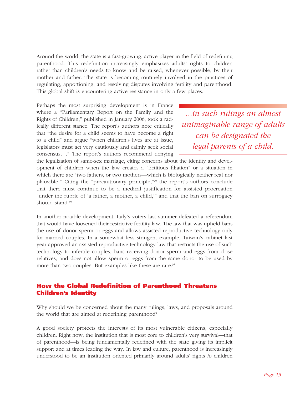Around the world, the state is a fast-growing, active player in the field of redefining parenthood. This redefinition increasingly emphasizes adults' rights to children rather than children's needs to know and be raised, whenever possible, by their mother and father. The state is becoming routinely involved in the practices of regulating, apportioning, and resolving disputes involving fertility and parenthood. This global shift is encountering active resistance in only a few places.

Perhaps the most surprising development is in France where a "Parliamentary Report on the Family and the Rights of Children," published in January 2006, took a radically different stance. The report's authors note critically that "the desire for a child seems to have become a right to a child" and argue "when children's lives are at issue, legislators must act very cautiously and calmly seek social consensus…." The report's authors recommend denying

*...in such rulings an almost unimaginable range of adults can be designated the legal parents of a child.*

the legalization of same-sex marriage, citing concerns about the identity and development of children when the law creates a "fictitious filiation" or a situation in which there are "two fathers, or two mothers—which is biologically neither real nor plausible." Citing the "precautionary principle,"29 the report's authors conclude that there must continue to be a medical justification for assisted procreation "under the rubric of 'a father, a mother, a child,'" and that the ban on surrogacy should stand.<sup>30</sup>

In another notable development, Italy's voters last summer defeated a referendum that would have loosened their restrictive fertility law. The law that was upheld bans the use of donor sperm or eggs and allows assisted reproductive technology only for married couples. In a somewhat less stringent example, Taiwan's cabinet last year approved an assisted reproductive technology law that restricts the use of such technology to infertile couples, bans receiving donor sperm and eggs from close relatives, and does not allow sperm or eggs from the same donor to be used by more than two couples. But examples like these are rare.<sup>31</sup>

# **How the Global Redefinition of Parenthood Threatens Children's Identity**

Why should we be concerned about the many rulings, laws, and proposals around the world that are aimed at redefining parenthood?

A good society protects the interests of its most vulnerable citizens, especially children. Right now, the institution that is most core to children's very survival—that of parenthood—is being fundamentally redefined with the state giving its implicit support and at times leading the way. In law and culture, parenthood is increasingly understood to be an institution oriented primarily around adults' rights *to* children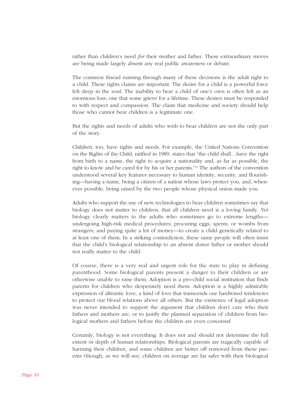rather than children's need *for* their mother and father. These extraordinary moves are being made largely absent any real public awareness or debate.

The common thread running through many of these decisions is the adult right to a child. These rights claims are important. The desire for a child is a powerful force felt deep in the soul. The inability to bear a child of one's own is often felt as an enormous loss, one that some grieve for a lifetime. These desires must be responded to with respect and compassion. The claim that medicine and society should help those who cannot bear children is a legitimate one.

But the rights and needs of adults who wish to bear children are not the only part of the story.

Children, too, have rights and needs. For example, the United Nations Convention on the Rights of the Child, ratified in 1989, states that "the child shall…have the right from birth to a name, the right to acquire a nationality and, as far as possible, the right to know and be cared for by his or her parents."32 The authors of the convention understood several key features necessary to human identity, security, and flourishing—having a name, being a citizen of a nation whose laws protect you, and, whenever possible, being raised by the two people whose physical union made you.

Adults who support the use of new technologies to bear children sometimes say that biology does not matter to children, that all children need is a loving family. Yet biology clearly matters to the adults who sometimes go to extreme lengths undergoing high-risk medical procedures; procuring eggs, sperm, or wombs from strangers; and paying quite a lot of money—to create a child genetically related to at least one of them. In a striking contradiction, these same people will often insist that the child's biological relationship to an absent donor father or mother should not really matter to the child.

Of course, there is a very real and urgent role for the state to play in defining parenthood. Some biological parents present a danger to their children or are otherwise unable to raise them. Adoption is a pro-child social institution that finds parents for children who desperately need them. Adoption is a highly admirable expression of altruistic love, a kind of love that transcends our hardwired tendencies to protect our blood relations above all others. But the existence of legal adoption was never intended to support the argument that children don't care who their fathers and mothers are, or to justify the planned separation of children from biological mothers and fathers before the children are even *conceived*.

Certainly, biology is not everything. It does not and should not determine the full extent or depth of human relationships. Biological parents are tragically capable of harming their children, and some children are better off removed from these parents (though, as we will see, children on average are far safer with their biological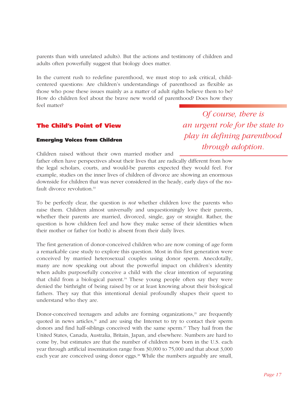parents than with unrelated adults). But the actions and testimony of children and adults often powerfully suggest that biology does matter.

In the current rush to redefine parenthood, we must stop to ask critical, childcentered questions: Are children's understandings of parenthood as flexible as those who pose these issues mainly as a matter of adult rights believe them to be? How do children feel about the brave new world of parenthood? Does how they feel matter?

### **The Child's Point of View**

#### **Emerging Voices from Children**

*an urgent role for the state to play in defining parenthood through adoption.*

*Of course, there is* 

Children raised without their own married mother and father often have perspectives about their lives that are radically different from how the legal scholars, courts, and would-be parents expected they would feel. For example, studies on the inner lives of children of divorce are showing an enormous downside for children that was never considered in the heady, early days of the nofault divorce revolution.<sup>33</sup>

To be perfectly clear, the question is *not* whether children love the parents who raise them. Children almost universally and unquestioningly love their parents, whether their parents are married, divorced, single, gay or straight. Rather, the question is how children feel and how they make sense of their identities when their mother or father (or both) is absent from their daily lives.

The first generation of donor-conceived children who are now coming of age form a remarkable case study to explore this question. Most in this first generation were conceived by married heterosexual couples using donor sperm. Anecdotally, many are now speaking out about the powerful impact on children's identity when adults purposefully conceive a child with the clear intention of separating that child from a biological parent.<sup>34</sup> These young people often say they were denied the birthright of being raised by or at least knowing about their biological fathers. They say that this intentional denial profoundly shapes their quest to understand who they are.

Donor-conceived teenagers and adults are forming organizations, $35$  are frequently quoted in news articles, $36$  and are using the Internet to try to contact their sperm donors and find half-siblings conceived with the same sperm.<sup>37</sup> They hail from the United States, Canada, Australia, Britain, Japan, and elsewhere. Numbers are hard to come by, but estimates are that the number of children now born in the U.S. each year through artificial insemination range from 30,000 to 75,000 and that about 3,000 each year are conceived using donor eggs.<sup>38</sup> While the numbers arguably are small,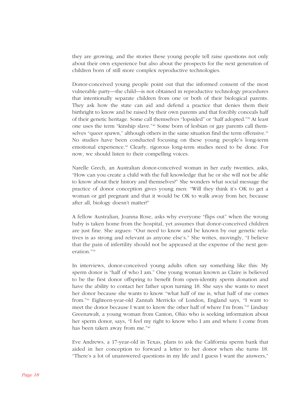they are growing, and the stories these young people tell raise questions not only about their own experience but also about the prospects for the next generation of children born of still more complex reproductive technologies.

Donor-conceived young people point out that the informed consent of the most vulnerable party—the child—is not obtained in reproductive technology procedures that intentionally separate children from one or both of their biological parents. They ask how the state can aid and defend a practice that denies them their birthright to know and be raised by their own parents and that forcibly conceals half of their genetic heritage. Some call themselves "lopsided" or "half adopted."39 At least one uses the term "kinship slave."40 Some born of lesbian or gay parents call themselves "queer spawn," although others in the same situation find the term offensive.<sup>41</sup> No studies have been conducted focusing on these young people's long-term emotional experience.<sup>42</sup> Clearly, rigorous long-term studies need to be done. For now, we should listen to their compelling voices.

Narelle Grech, an Australian donor-conceived woman in her early twenties, asks, "How can you create a child with the full knowledge that he or she will not be able to know about their history and themselves?" She wonders what social message the practice of donor conception gives young men: "Will they think it's OK to get a woman or girl pregnant and that it would be OK to walk away from her, because after all, biology doesn't matter?"

A fellow Australian, Joanna Rose, asks why everyone "flips out" when the wrong baby is taken home from the hospital, yet assumes that donor-conceived children are just fine. She argues: "Our need to know and be known by our genetic relatives is as strong and relevant as anyone else's." She writes, movingly, "I believe that the pain of infertility should not be appeased at the expense of the next generation."43

In interviews, donor-conceived young adults often say something like this: My sperm donor is "half of who I am." One young woman known as Claire is believed to be the first donor offspring to benefit from open-identity sperm donation and have the ability to contact her father upon turning 18. She says she wants to meet her donor because she wants to know "what half of me is, what half of me comes from."44 Eighteen-year-old Zannah Merricks of London, England says, "I want to meet the donor because I want to know the other half of where I'm from."45 Lindsay Greenawalt, a young woman from Canton, Ohio who is seeking information about her sperm donor, says, "I feel my right to know who I am and where I come from has been taken away from me."46

Eve Andrews, a 17-year-old in Texas, plans to ask the California sperm bank that aided in her conception to forward a letter to her donor when she turns 18. "There's a lot of unanswered questions in my life and I guess I want the answers,"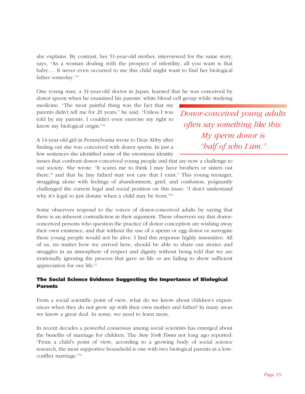she explains. By contrast, her 51-year-old mother, interviewed for the same story, says, "As a woman dealing with the prospect of infertility, all you want is that baby.… It never even occurred to me this child might want to find her biological father someday."47

One young man, a 31-year-old doctor in Japan, learned that he was conceived by donor sperm when he examined his parents' white blood cell group while studying

medicine. "The most painful thing was the fact that my parents didn't tell me for 29 years," he said. "Unless I was told by my parents, I couldn't even exercise my right to know my biological origin."48

A 14-year-old girl in Pennsylvania wrote to Dear Abby after finding out she was conceived with donor sperm. In just a few sentences she identified some of the enormous identity

issues that confront donor-conceived young people and that are now a challenge to our society. She wrote: "It scares me to think I may have brothers or sisters out there, $49$  and that he [my father] may not care that I exist." This young teenager, struggling alone with feelings of abandonment, grief, and confusion, poignantly challenged the current legal and social position on this issue: "I don't understand why it's legal to just donate when a child may be born."<sup>50</sup>

Some observers respond to the voices of donor-conceived adults by saying that there is an inherent contradiction in their argument. These observers say that donorconceived persons who question the practice of donor conception are wishing away their own existence, and that without the use of a sperm or egg donor or surrogate these young people would not be alive. I find this response highly insensitive. All of us, no matter how we arrived here, should be able to share our stories and struggles in an atmosphere of respect and dignity without being told that we are irrationally ignoring the process that gave us life or are failing to show sufficient appreciation for our life.<sup>51</sup>

#### **The Social Science Evidence Suggesting the Importance of Biological Parents**

From a social scientific point of view, what do we know about children's experiences when they do not grow up with their own mother and father? In many areas we know a great deal. In some, we need to learn more.

In recent decades a powerful consensus among social scientists has emerged about the benefits of marriage for children. The *New York Times* not long ago reported: "From a child's point of view, according to a growing body of social science research, the most supportive household is one with two biological parents in a lowconflict marriage."52

*Donor-conceived young adults often say something like this: My sperm donor is "half of who I am."*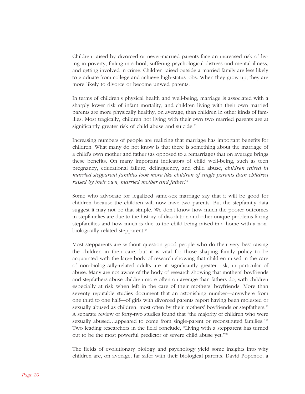Children raised by divorced or never-married parents face an increased risk of living in poverty, failing in school, suffering psychological distress and mental illness, and getting involved in crime. Children raised outside a married family are less likely to graduate from college and achieve high-status jobs. When they grow up, they are more likely to divorce or become unwed parents.

In terms of children's physical health and well-being, marriage is associated with a sharply lower risk of infant mortality, and children living with their own married parents are more physically healthy, on average, than children in other kinds of families. Most tragically, children not living with their own two married parents are at significantly greater risk of child abuse and suicide.<sup>53</sup>

Increasing numbers of people are realizing that marriage has important benefits for children. What many do not know is that there is something about the marriage of a child's own mother and father (as opposed to a remarriage) that on average brings these benefits. On many important indicators of child well-being, such as teen pregnancy, educational failure, delinquency, and child abuse, *children raised in married stepparent families look more like children of single parents than children raised by their own, married mother and father.*<sup>54</sup>

Some who advocate for legalized same-sex marriage say that it will be good for children because the children will now have two parents. But the stepfamily data suggest it may not be that simple. We don't know how much the poorer outcomes in stepfamilies are due to the history of dissolution and other unique problems facing stepfamilies and how much is due to the child being raised in a home with a nonbiologically related stepparent.<sup>55</sup>

Most stepparents are without question good people who do their very best raising the children in their care, but it is vital for those shaping family policy to be acquainted with the large body of research showing that children raised in the care of non-biologically-related adults are at significantly greater risk, in particular of abuse. Many are not aware of the body of research showing that mothers' boyfriends and stepfathers abuse children more often on average than fathers do, with children especially at risk when left in the care of their mothers' boyfriends. More than seventy reputable studies document that an astonishing number—anywhere from one third to one half—of girls with divorced parents report having been molested or sexually abused as children, most often by their mothers' boyfriends or stepfathers.<sup>56</sup> A separate review of forty-two studies found that "the majority of children who were sexually abused…appeared to come from single-parent or reconstituted families."<sup>57</sup> Two leading researchers in the field conclude, "Living with a stepparent has turned out to be the most powerful predictor of severe child abuse yet."58

The fields of evolutionary biology and psychology yield some insights into why children are, on average, far safer with their biological parents. David Popenoe, a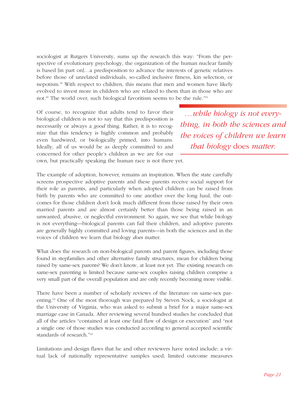sociologist at Rutgers University, sums up the research this way: "From the perspective of evolutionary psychology, the organization of the human nuclear family is based [in part on]…a predisposition to advance the interests of genetic relatives before those of unrelated individuals, so-called inclusive fitness, kin selection, or nepotism.59 With respect to children, this means that men and women have likely evolved to invest more in children who are related to them than in those who are not.<sup>60</sup> The world over, such biological favoritism seems to be the rule.<sup>"61</sup>

Of course, to recognize that adults tend to favor their biological children is not to say that this predisposition is necessarily or always a *good* thing. Rather, it is to recognize that this tendency is highly common and probably even hardwired, or biologically primed, into humans. Ideally, all of us would be as deeply committed to and concerned for other people's children as we are for our own, but practically speaking the human race is not there yet.

*…while biology is not everything, in both the sciences and the voices of children we learn that biology* does *matter.*

The example of adoption, however, remains an inspiration. When the state carefully screens prospective adoptive parents and these parents receive social support for their role as parents, and particularly when adopted children can be raised from birth by parents who are committed to one another over the long haul, the outcomes for those children don't look much different from those raised by their own married parents and are almost certainly better than those being raised in an unwanted, abusive, or neglectful environment. So again, we see that while biology is not everything—biological parents can fail their children, and adoptive parents are generally highly committed and loving parents—in both the sciences and in the voices of children we learn that biology *does* matter.

What does the research on non-biological parents and parent figures, including those found in stepfamilies and other alternative family structures, mean for children being raised by same-sex parents? We don't know, at least not yet. The existing research on same-sex parenting is limited because same-sex couples raising children comprise a very small part of the overall population and are only recently becoming more visible.

There have been a number of scholarly reviews of the literature on same-sex parenting. $62$  One of the most thorough was prepared by Steven Nock, a sociologist at the University of Virginia, who was asked to submit a brief for a major same-sex marriage case in Canada. After reviewing several hundred studies he concluded that all of the articles "contained at least one fatal flaw of design or execution" and "not a single one of those studies was conducted according to general accepted scientific standards of research."63

Limitations and design flaws that he and other reviewers have noted include: a virtual lack of nationally representative samples used; limited outcome measures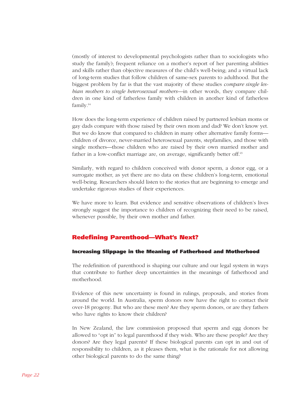(mostly of interest to developmental psychologists rather than to sociologists who study the family); frequent reliance on a mother's report of her parenting abilities and skills rather than objective measures of the child's well-being; and a virtual lack of long-term studies that follow children of same-sex parents to adulthood. But the biggest problem by far is that the vast majority of these studies *compare single lesbian mothers to single heterosexual mothers*—in other words, they compare children in one kind of fatherless family with children in another kind of fatherless family.<sup>64</sup>

How does the long-term experience of children raised by partnered lesbian moms or gay dads compare with those raised by their own mom and dad? We don't know yet. But we do know that compared to children in many other alternative family forms children of divorce, never-married heterosexual parents, stepfamilies, and those with single mothers—those children who are raised by their own married mother and father in a low-conflict marriage are, on average, significantly better off.<sup>65</sup>

Similarly, with regard to children conceived with donor sperm, a donor egg, or a surrogate mother, as yet there are no data on these children's long-term, emotional well-being. Researchers should listen to the stories that are beginning to emerge and undertake rigorous studies of their experiences.

We have more to learn. But evidence and sensitive observations of children's lives strongly suggest the importance to children of recognizing their need to be raised, whenever possible, by their own mother and father.

# **Redefining Parenthood—What's Next?**

#### **Increasing Slippage in the Meaning of Fatherhood and Motherhood**

The redefinition of parenthood is shaping our culture and our legal system in ways that contribute to further deep uncertainties in the meanings of fatherhood and motherhood.

Evidence of this new uncertainty is found in rulings, proposals, and stories from around the world. In Australia, sperm donors now have the right to contact their over-18 progeny. But who are these men? Are they sperm donors, or are they fathers who have rights to know their children?

In New Zealand, the law commission proposed that sperm and egg donors be allowed to "opt in" to legal parenthood if they wish. Who are these people? Are they donors? Are they legal parents? If these biological parents can opt in and out of responsibility to children, as it pleases them, what is the rationale for not allowing other biological parents to do the same thing?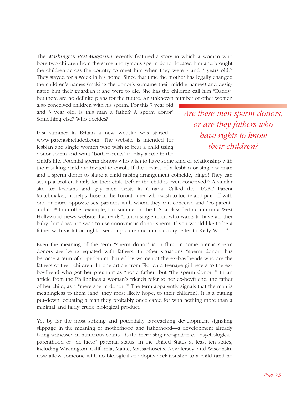The *Washington Post Magazine* recently featured a story in which a woman who bore two children from the same anonymous sperm donor located him and brought the children across the country to meet him when they were  $7$  and 3 years old.<sup>66</sup> They stayed for a week in his home. Since that time the mother has legally changed the children's names (making the donor's surname their middle names) and designated him their guardian if she were to die. She has the children call him "Daddy" but there are no definite plans for the future. An unknown number of other women

also conceived children with his sperm. For this 7 year old and 3 year old, is this man a father? A sperm donor? Something else? Who decides?

Last summer in Britain a new website was started www.parentsincluded.com. The website is intended for lesbian and single women who wish to bear a child using donor sperm and want "both parents" to play a role in the

*Are these men sperm donors, or are they fathers who have rights to know their children?*

child's life. Potential sperm donors who wish to have some kind of relationship with the resulting child are invited to enroll. If the desires of a lesbian or single woman and a sperm donor to share a child raising arrangement coincide, bingo! They can set up a broken family for their child before the child is even conceived.<sup> $\sigma$ </sup> A similar site for lesbians and gay men exists in Canada. Called the "LGBT Parent Matchmaker," it helps those in the Toronto area who wish to locate and pair off with one or more opposite sex partners with whom they can conceive and "co-parent" a child.<sup>68</sup> In another example, last summer in the U.S. a classified ad ran on a West Hollywood news website that read: "I am a single mom who wants to have another baby, but does not wish to use anonymous donor sperm. If you would like to be a father with visitation rights, send a picture and introductory letter to Kelly W....<sup>"69</sup>

Even the meaning of the term "sperm donor" is in flux. In some arenas sperm donors are being equated with fathers. In other situations "sperm donor" has become a term of opprobrium, hurled by women at the ex-boyfriends who are the fathers of their children. In one article from Florida a teenage girl refers to the exboyfriend who got her pregnant as "not a father" but "the sperm donor."70 In an article from the Philippines a woman's friends refer to her ex-boyfriend, the father of her child, as a "mere sperm donor."71 The term apparently signals that the man is meaningless to them (and, they most likely hope, to their children). It is a cutting put-down, equating a man they probably once cared for with nothing more than a minimal and fairly crude biological product.

Yet by far the most striking and potentially far-reaching development signaling slippage in the meaning of motherhood and fatherhood—a development already being witnessed in numerous courts—is the increasing recognition of "psychological" parenthood or "de facto" parental status. In the United States at least ten states, including Washington, California, Maine, Massachusetts, New Jersey, and Wisconsin, now allow someone with no biological or adoptive relationship to a child (and no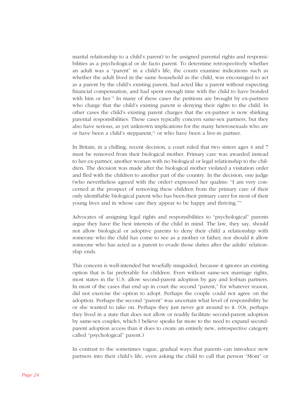marital relationship to a child's parent) to be assigned parental rights and responsibilities as a psychological or de facto parent. To determine retrospectively whether an adult was a "parent" in a child's life, the courts examine indications such as whether the adult lived in the same household as the child, was encouraged to act as a parent by the child's existing parent, had acted like a parent without expecting financial compensation, and had spent enough time with the child to have bonded with him or her.<sup>72</sup> In many of these cases the petitions are brought by ex-partners who charge that the child's existing parent is denying their rights to the child. In other cases the child's existing parent charges that the ex-partner is now shirking parental responsibilities. These cases typically concern same-sex partners, but they also have serious, as yet unknown implications for the many heterosexuals who are or have been a child's stepparent,<sup>73</sup> or who have been a live-in partner.

In Britain, in a chilling, recent decision, a court ruled that two sisters ages 4 and 7 must be removed from their biological mother. Primary care was awarded instead to her ex-partner, another woman with no biological or legal relationship to the children. The decision was made after the biological mother violated a visitation order and fled with the children to another part of the country. In the decision, one judge (who nevertheless agreed with the order) expressed her qualms: "I am very concerned at the prospect of removing these children from the primary care of their only identifiable biological parent who has been their primary carer for most of their young lives and in whose care they appear to be happy and thriving."74

Advocates of assigning legal rights and responsibilities to "psychological" parents argue they have the best interests of the child in mind. The law, they say, should not allow biological or adoptive parents to deny their child a relationship with someone who the child has come to see as a mother or father, nor should it allow someone who has acted as a parent to evade those duties after the adults' relationship ends.

This concern is well-intended but woefully misguided, because it ignores an existing option that is far preferable for children. Even without same-sex marriage rights, most states in the U.S. allow second-parent adoption by gay and lesbian partners. In most of the cases that end up in court the second "parent," for whatever reason, did not exercise the option to adopt. Perhaps the couple could not agree on the adoption. Perhaps the second "parent" was uncertain what level of responsibility he or she wanted to take on. Perhaps they just never got around to it. (Or, perhaps they lived in a state that does not allow or readily facilitate second-parent adoption by same-sex couples, which I believe speaks far more to the need to expand secondparent adoption access than it does to create an entirely new, retrospective category called "psychological" parent.)

In contrast to the sometimes vague, gradual ways that parents can introduce new partners into their child's life, even asking the child to call that person "Mom" or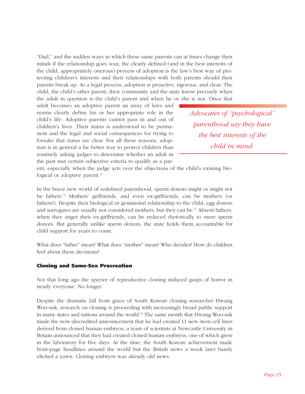"Dad," and the sudden ways in which these same parents can at times change their minds if the relationship goes sour, the clearly defined (and in the best interests of the child, appropriately onerous) process of adoption is the law's best way of protecting children's interests and their relationships with both parents should their parents break up. As a legal process, adoption is proactive, rigorous, and clear. The child, the child's other parent, their community and the state know precisely when the adult in question is the child's parent and when he or she is not. Once that

adult becomes an adoptive parent an array of laws and norms clearly define his or her appropriate role in the child's life. Adoptive parents cannot pass in and out of children's lives. Their status is understood to be permanent and the legal and social consequences for trying to forsake that status are clear. For all these reasons, adoption is in general a far better way to protect children than routinely asking judges to determine whether an adult in the past met certain subjective criteria to qualify as a par-

*Advocates of "psychological" parenthood say they have the best interests of the child in mind.*

ent, especially when the judge acts over the objections of the child's existing biological or adoptive parent.<sup>75</sup>

In the brave new world of redefined parenthood, sperm donors might or might not be fathers.76 Mothers' girlfriends, and even ex-girlfriends, can be mothers (or fathers!). Despite their biological or gestational relationship to the child, egg donors and surrogates are usually not considered mothers, but they can be.<sup>77</sup> Absent fathers, when they anger their ex-girlfriends, can be reduced rhetorically to mere sperm donors. But generally unlike sperm donors, the state holds them accountable for child support for years to come.

What does "father" mean? What does "mother" mean? Who decides? How do children feel about these decisions?

#### **Cloning and Same-Sex Procreation**

Not that long ago the specter of reproductive cloning induced gasps of horror in nearly everyone. No longer.

Despite the dramatic fall from grace of South Korean cloning researcher Hwang Woo-suk, research on cloning is proceeding with increasingly broad public support in many states and nations around the world.<sup>78</sup> The same month that Hwang Woo-suk made the now-discredited announcement that he had created 11 new stem cell lines derived from cloned human embryos, a team of scientists at Newcastle University in Britain announced that they had created cloned human embryos, one of which grew in the laboratory for five days. At the time, the South Korean achievement made front-page headlines around the world but the British news a week later barely elicited a yawn. Cloning embryos was already old news.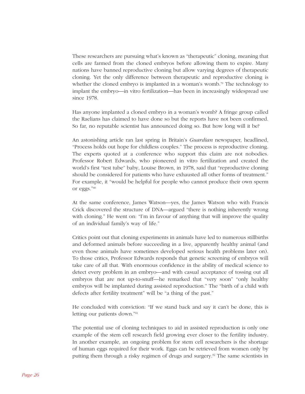These researchers are pursuing what's known as "therapeutic" cloning, meaning that cells are farmed from the cloned embryos before allowing them to expire. Many nations have banned reproductive cloning but allow varying degrees of therapeutic cloning. Yet the only difference between therapeutic and reproductive cloning is whether the cloned embryo is implanted in a woman's womb.<sup>79</sup> The technology to implant the embryo—in vitro fertilization—has been in increasingly widespread use since 1978.

Has anyone implanted a cloned embryo in a woman's womb? A fringe group called the Raelians has claimed to have done so but the reports have not been confirmed. So far, no reputable scientist has announced doing so. But how long will it be?

An astonishing article ran last spring in Britain's *Guardian* newspaper, headlined, "Process holds out hope for childless couples." The process is reproductive cloning. The experts quoted at a conference who support this claim are not nobodies. Professor Robert Edwards, who pioneered in vitro fertilization and created the world's first "test tube" baby, Louise Brown, in 1978, said that "reproductive cloning should be considered for patients who have exhausted all other forms of treatment." For example, it "would be helpful for people who cannot produce their own sperm or eggs."80

At the same conference, James Watson—yes, the James Watson who with Francis Crick discovered the structure of DNA—argued "there is nothing inherently wrong with cloning." He went on: "I'm in favour of anything that will improve the quality of an individual family's way of life."

Critics point out that cloning experiments in animals have led to numerous stillbirths and deformed animals before succeeding in a live, apparently healthy animal (and even those animals have sometimes developed serious health problems later on). To those critics, Professor Edwards responds that genetic screening of embryos will take care of all that. With enormous confidence in the ability of medical science to detect every problem in an embryo—and with casual acceptance of tossing out all embryos that are not up-to-snuff—he remarked that "very soon" "only healthy embryos will be implanted during assisted reproduction." The "birth of a child with defects after fertility treatment" will be "a thing of the past."

He concluded with conviction: "If we stand back and say it can't be done, this is letting our patients down."81

The potential use of cloning techniques to aid in assisted reproduction is only one example of the stem cell research field growing ever closer to the fertility industry. In another example, an ongoing problem for stem cell researchers is the shortage of human eggs required for their work. Eggs can be retrieved from women only by putting them through a risky regimen of drugs and surgery.82 The same scientists in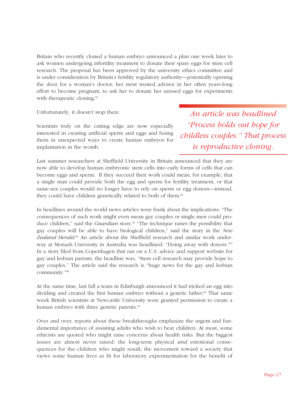Britain who recently cloned a human embryo announced a plan one week later to ask women undergoing infertility treatment to donate their spare eggs for stem cell research. The proposal has been approved by the university ethics committee and is under consideration by Britain's fertility regulatory authority—potentially opening the door for a woman's doctor, her most trusted advisor in her often years-long effort to become pregnant, to ask her to donate her unused eggs for experiments with therapeutic cloning.<sup>83</sup>

Unfortunately, it doesn't stop there.

Scientists truly on the cutting edge are now especially interested in creating artificial sperm and eggs and fusing them in unexpected ways to create human embryos for implantation in the womb.

*An article was headlined "Process holds out hope for childless couples." That process is reproductive cloning.*

Last summer researchers at Sheffield University in Britain announced that they are now able to develop human embryonic stem cells into early forms of cells that can become eggs and sperm. If they succeed their work could mean, for example, that a single man could provide both the egg and sperm for fertility treatment, or that same-sex couples would no longer have to rely on sperm or egg donors—instead, they could have children genetically related to both of them.<sup>84</sup>

In headlines around the world news articles were frank about the implications: "The consequences of such work might even mean gay couples or single men could produce children," said the *Guardian* story.<sup>85</sup> "The technique raises the possibility that gay couples will be able to have biological children," said the story in the *New Zealand Herald*. <sup>86</sup> An article about the Sheffield research and similar work underway at Monash University in Australia was headlined: "Doing away with donors."<sup>87</sup> In a story filed from Copenhagen that ran on a U.S. advice and support website for gay and lesbian parents, the headline was, "Stem cell research may provide hope to gay couples." The article said the research is "huge news for the gay and lesbian community."88

At the same time, last fall a team in Edinburgh announced it had tricked an egg into dividing and created the first human embryo without a genetic father.<sup>89</sup> That same week British scientists at Newcastle University were granted permission to create a human embryo with three genetic parents.<sup>90</sup>

Over and over, reports about these breakthroughs emphasize the urgent and fundamental importance of assisting adults who wish to bear children. At most, some ethicists are quoted who might raise concerns about health risks. But the biggest issues are almost never raised: the long-term physical *and* emotional consequences for the children who might result; the movement toward a society that views some human lives as fit for laboratory experimentation for the benefit of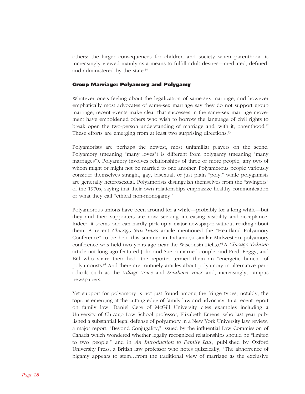others; the larger consequences for children and society when parenthood is increasingly viewed mainly as a means to fulfill adult desires—mediated, defined, and administered by the state.<sup>91</sup>

#### **Group Marriage: Polyamory and Polygamy**

Whatever one's feeling about the legalization of same-sex marriage, and however emphatically most advocates of same-sex marriage say they do not support group marriage, recent events make clear that successes in the same-sex marriage movement have emboldened others who wish to borrow the language of civil rights to break open the two-person understanding of marriage and, with it, parenthood.<sup>92</sup> These efforts are emerging from at least two surprising directions.<sup>93</sup>

Polyamorists are perhaps the newest, most unfamiliar players on the scene. Polyamory (meaning "many loves") is different from polygamy (meaning "many marriages"). Polyamory involves relationships of three or more people, any two of whom might or might not be married to one another. Polyamorous people variously consider themselves straight, gay, bisexual, or just plain "poly," while polygamists are generally heterosexual. Polyamorists distinguish themselves from the "swingers" of the 1970s, saying that their own relationships emphasize healthy communication or what they call "ethical non-monogamy."

Polyamorous unions have been around for a while—probably for a long while—but they and their supporters are now seeking increasing visibility and acceptance. Indeed it seems one can hardly pick up a major newspaper without reading about them. A recent *Chicago Sun-Times* article mentioned the "Heartland Polyamory Conference" to be held this summer in Indiana (a similar Midwestern polyamory conference was held two years ago near the Wisconsin Dells).94 A *Chicago Tribune* article not long ago featured John and Sue, a married couple, and Fred, Peggy, and Bill who share their bed—the reporter termed them an "energetic bunch" of polyamorists.95 And there are routinely articles about polyamory in alternative periodicals such as the *Village Voice* and *Southern Voice* and, increasingly, campus newspapers.

Yet support for polyamory is not just found among the fringe types; notably, the topic is emerging at the cutting edge of family law and advocacy. In a recent report on family law, Daniel Cere of McGill University cites examples including a University of Chicago Law School professor, Elizabeth Emens, who last year published a substantial legal defense of polyamory in a New York University law review; a major report, "Beyond Conjugality," issued by the influential Law Commission of Canada which wondered whether legally recognized relationships should be "limited to two people," and in *An Introduction to Family Law*, published by Oxford University Press, a British law professor who notes quizzically, "The abhorrence of bigamy appears to stem…from the traditional view of marriage as the exclusive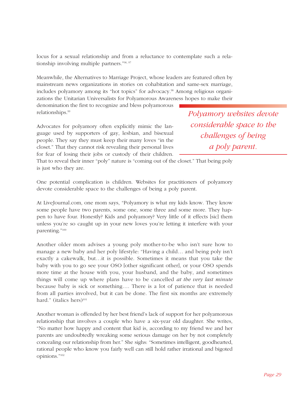locus for a sexual relationship and from a reluctance to contemplate such a relationship involving multiple partners."96, 97

Meanwhile, the Alternatives to Marriage Project, whose leaders are featured often by mainstream news organizations in stories on cohabitation and same-sex marriage, includes polyamory among its "hot topics" for advocacy.98 Among religious organizations the Unitarian Universalists for Polyamorous Awareness hopes to make their

denomination the first to recognize and bless polyamorous relationships.<sup>99</sup>

Advocates for polyamory often explicitly mimic the language used by supporters of gay, lesbian, and bisexual people. They say they must keep their many loves "in the closet." That they cannot risk revealing their personal lives for fear of losing their jobs or custody of their children. *Polyamory websites devote considerable space to the challenges of being a poly parent.*

That to reveal their inner "poly" nature is "coming out of the closet." That being poly is just who they are.

One potential complication is children. Websites for practitioners of polyamory devote considerable space to the challenges of being a poly parent.

At LiveJournal.com, one mom says, "Polyamory is what my kids know. They know some people have two parents, some one, some three and some more. They happen to have four. Honestly? Kids and polyamory? Very little of it effects [sic] them unless you're so caught up in your new loves you're letting it interfere with your parenting."100

Another older mom advises a young poly mother-to-be who isn't sure how to manage a new baby and her poly lifestyle: "Having a child… and being poly isn't exactly a cakewalk, but…it is possible. Sometimes it means that you take the baby with you to go see your OSO [other significant other], or your OSO spends more time at the house with you, your husband, and the baby, and sometimes things will come up where plans have to be cancelled *at the very last minute* because baby is sick or something…. There is a lot of patience that is needed from all parties involved, but it can be done. The first six months are extremely hard." (italics hers)<sup>101</sup>

Another woman is offended by her best friend's lack of support for her polyamorous relationship that involves a couple who have a six-year old daughter. She writes, "No matter how happy and content that kid is, according to my friend we and her parents are undoubtedly wreaking some serious damage on her by not completely concealing our relationship from her." She sighs: "Sometimes intelligent, goodhearted, rational people who know you fairly well can still hold rather irrational and bigoted opinions."102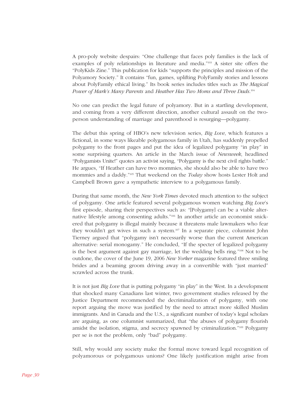A pro-poly website despairs: "One challenge that faces poly families is the lack of examples of poly relationships in literature and media."103 A sister site offers the "PolyKids Zine." This publication for kids "supports the principles and mission of the Polyamory Society." It contains "fun, games, uplifting PolyFamily stories and lessons about PolyFamily ethical living." Its book series includes titles such as *The Magical Power of Mark's Many Parents* and *Heather Has Two Moms and Three Dads*. 104

No one can predict the legal future of polyamory. But in a startling development, and coming from a very different direction, another cultural assault on the twoperson understanding of marriage and parenthood is resurging—polygamy.

The debut this spring of HBO's new television series, *Big Love*, which features a fictional, in some ways likeable polygamous family in Utah, has suddenly propelled polygamy to the front pages and put the idea of legalized polygamy "in play" in some surprising quarters. An article in the March issue of *Newsweek*, headlined "Polygamists Unite!" quotes an activist saying, "Polygamy is the next civil rights battle." He argues, "If Heather can have two mommies, she should also be able to have two mommies and a daddy."105 That weekend on the *Today* show hosts Lester Holt and Campbell Brown gave a sympathetic interview to a polygamous family.

During that same month, the *New York Times* devoted much attention to the subject of polygamy. One article featured several polygamous women watching *Big Love*'s first episode, sharing their perspectives such as: "[Polygamy] can be a viable alternative lifestyle among consenting adults."106 In another article an economist snickered that polygamy is illegal mainly because it threatens male lawmakers who fear they wouldn't get wives in such a system.107 In a separate piece, columnist John Tierney argued that "polygamy isn't necessarily worse than the current American alternative: serial monogamy." He concluded, "If the specter of legalized polygamy is the best argument against gay marriage, let the wedding bells ring."108 Not to be outdone, the cover of the June 19, 2006 *New Yorker* magazine featured three smiling brides and a beaming groom driving away in a convertible with "just married" scrawled across the trunk.

It is not just *Big Love* that is putting polygamy "in play" in the West. In a development that shocked many Canadians last winter, two government studies released by the Justice Department recommended the decriminalization of polygamy, with one report arguing the move was justified by the need to attract more skilled Muslim immigrants. And in Canada and the U.S., a significant number of today's legal scholars are arguing, as one columnist summarized, that "the abuses of polygamy flourish amidst the isolation, stigma, and secrecy spawned by criminalization."109 Polygamy per se is not the problem, only "bad" polygamy.

Still, why would any society make the formal move toward legal recognition of polyamorous or polygamous unions? One likely justification might arise from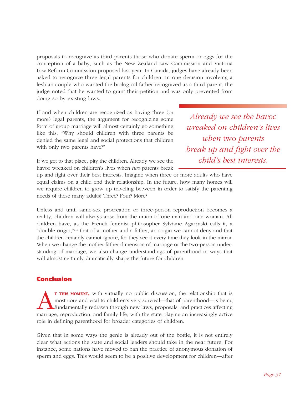proposals to recognize as third parents those who donate sperm or eggs for the conception of a baby, such as the New Zealand Law Commission and Victoria Law Reform Commission proposed last year. In Canada, judges have already been asked to recognize three legal parents for children. In one decision involving a lesbian couple who wanted the biological father recognized as a third parent, the judge noted that he wanted to grant their petition and was only prevented from doing so by existing laws.

If and when children are recognized as having three (or more) legal parents, the argument for recognizing some form of group marriage will almost certainly go something like this: "Why should children with three parents be denied the same legal and social protections that children with only two parents have?"

If we get to that place, pity the children. Already we see the havoc wreaked on children's lives when *two* parents break

up and fight over their best interests. Imagine when three or more adults who have equal claims on a child end their relationship. In the future, how many homes will we require children to grow up traveling between in order to satisfy the parenting needs of these many adults? Three? Four? More?

Unless and until same-sex procreation or three-person reproduction becomes a reality, children will always arise from the union of one man and one woman. All children have, as the French feminist philosopher Sylviane Agacinski calls it, a "double origin,"110 that of a mother and a father, an origin we cannot deny and that the children certainly cannot ignore, for they see it every time they look in the mirror. When we change the mother-father dimension of marriage or the two-person understanding of marriage, we also change understandings of parenthood in ways that will almost certainly dramatically shape the future for children.

# **Conclusion**

**AT THIS MOMENT,** with virtually no public discussion, the relationship that is most core and vital to children's very survival—that of parenthood—is being fundamentally redrawn through new laws, proposals, and practices most core and vital to children's very survival—that of parenthood—is being fundamentally redrawn through new laws, proposals, and practices affecting marriage, reproduction, and family life, with the state playing an increasingly active role in defining parenthood for broader categories of children.

Given that in some ways the genie is already out of the bottle, it is not entirely clear what actions the state and social leaders should take in the near future. For instance, some nations have moved to ban the practice of anonymous donation of sperm and eggs. This would seem to be a positive development for children—after

*Already we see the havoc wreaked on children's lives when* two *parents break up and fight over the child's best interests.*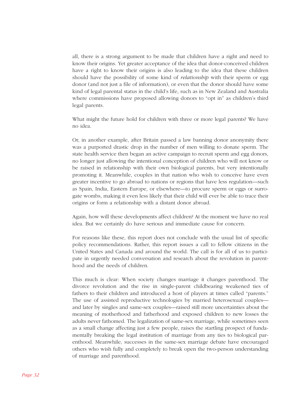all, there is a strong argument to be made that children have a right and need to know their origins. Yet greater acceptance of the idea that donor-conceived children have a right to know their origins is also leading to the idea that these children should have the possibility of some kind of *relationship* with their sperm or egg donor (and not just a file of information), or even that the donor should have some kind of legal parental status in the child's life, such as in New Zealand and Australia where commissions have proposed allowing donors to "opt in" as children's third legal parents.

What might the future hold for children with three or more legal parents? We have no idea.

Or, in another example, after Britain passed a law banning donor anonymity there was a purported drastic drop in the number of men willing to donate sperm. The state health service then began an active campaign to recruit sperm and egg donors, no longer just allowing the intentional conception of children who will not know or be raised in relationship with their own biological parents, but very intentionally promoting it. Meanwhile, couples in that nation who wish to conceive have even greater incentive to go abroad to nations or regions that have less regulation—such as Spain, India, Eastern Europe, or elsewhere—to procure sperm or eggs or surrogate wombs, making it even less likely that their child will ever be able to trace their origins or form a relationship with a distant donor abroad.

Again, how will these developments affect children? At the moment we have no real idea. But we certainly do have serious and immediate cause for concern.

For reasons like these, this report does not conclude with the usual list of specific policy recommendations. Rather, this report issues a call to fellow citizens in the United States and Canada and around the world. The call is for all of us to participate in urgently needed conversation and research about the revolution in parenthood and the needs of children.

This much is clear: When society changes marriage it changes parenthood. The divorce revolution and the rise in single-parent childbearing weakened ties of fathers to their children and introduced a host of players at times called "parents." The use of assisted reproductive technologies by married heterosexual couples and later by singles and same-sex couples—raised still more uncertainties about the meaning of motherhood and fatherhood and exposed children to new losses the adults never fathomed. The legalization of same-sex marriage, while sometimes seen as a small change affecting just a few people, raises the startling prospect of fundamentally breaking the legal institution of marriage from any ties to biological parenthood. Meanwhile, successes in the same-sex marriage debate have encouraged others who wish fully and completely to break open the two-person understanding of marriage and parenthood.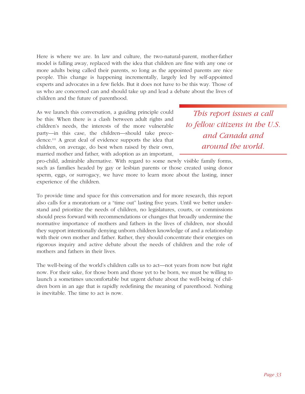Here is where we are. In law and culture, the two-natural-parent, mother-father model is falling away, replaced with the idea that children are fine with any one or more adults being called their parents, so long as the appointed parents are nice people. This change is happening incrementally, largely led by self-appointed experts and advocates in a few fields. But it does not have to be this way. Those of us who are concerned can and should take up and lead a debate about the lives of children and the future of parenthood.

As we launch this conversation, a guiding principle could be this: When there is a clash between adult rights and children's needs, the interests of the more vulnerable party—in this case, the children—should take precedence.111 A great deal of evidence supports the idea that children, on average, do best when raised by their own, married mother and father, with adoption as an important,

*This report issues a call to fellow citizens in the U.S. and Canada and around the world.*

pro-child, admirable alternative. With regard to some newly visible family forms, such as families headed by gay or lesbian parents or those created using donor sperm, eggs, or surrogacy, we have more to learn more about the lasting, inner experience of the children.

To provide time and space for this conversation and for more research, this report also calls for a moratorium or a "time out" lasting five years. Until we better understand and prioritize the needs of children, no legislatures, courts, or commissions should press forward with recommendations or changes that broadly undermine the normative importance of mothers and fathers in the lives of children, nor should they support intentionally denying unborn children knowledge of and a relationship with their own mother and father. Rather, they should concentrate their energies on rigorous inquiry and active debate about the needs of children and the role of mothers and fathers in their lives.

The well-being of the world's children calls us to act—not years from now but right now. For their sake, for those born and those yet to be born, we must be willing to launch a sometimes uncomfortable but urgent debate about the well-being of children born in an age that is rapidly redefining the meaning of parenthood. Nothing is inevitable. The time to act is now.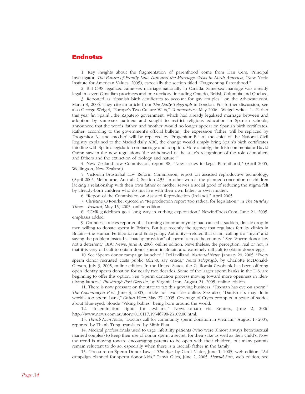#### **Endnotes**

1. Key insights about the fragmentation of parenthood come from Dan Cere, Principal Investigator, *The Future of Family Law: Law and the Marriage Crisis in North America*, (New York: Institute for American Values, 2005), especially the section titled "Fragmenting Parenthood."

2. Bill C-38 legalized same-sex marriage nationally in Canada. Same-sex marriage was already legal in seven Canadian provinces and one territory, including Ontario, British Columbia and Quebec.

3. Reported as "Spanish birth certificates to account for gay couples," on the Advocate.com, March 8, 2006. They cite an article from *The Daily Telegraph* in London. For further discussion, see also George Weigel, "Europe's Two Culture Wars," *Commentary*, May 2006. Weigel writes, "…Earlier this year [in Spain]…the Zapatero government, which had already legalized marriage between and adoption by same-sex partners and sought to restrict religious education in Spanish schools, announced that the words 'father' and 'mother' would no longer appear on Spanish birth certificates. Rather, according to the government's official bulletin, 'the expression 'father' will be replaced by 'Progenitor A,' and 'mother' will be replaced by 'Progenitor B.'' As the chief of the National Civil Registry explained to the Madrid daily ABC, the change would simply bring Spain's birth certificates into line with Spain's legislation on marriage and adoption. More acutely, the Irish commentator David Quinn saw in the new regulations 'the withdrawal of the state's recognition of the role of mothers and fathers and the extinction of biology and nature.'"

4. New Zealand Law Commission, report 88, "New Issues in Legal Parenthood," (April 2005, Wellington, New Zealand).

5. Victorian [Australia] Law Reform Commission, report on assisted reproductive technology, (April 2005, Melbourne, Australia), Section 2.35. In other words, the planned conception of children lacking a relationship with their own father or mother serves a social good of reducing the stigma felt by already-born children who do not live with their own father or own mother.

6. "Report of the Commission on Assisted Reproduction (Ireland)," April 2005.

7. Christine O'Rourke, quoted in "Reproduction report 'too radical for legislation'" in *The Sunday Times—Ireland*, May 15, 2005, online edition.

8. "ICMR guidelines go a long way in curbing exploitation," NewIndPress.Com, June 21, 2005, emphasis added.

9. Countless articles reported that banning donor anonymity had caused a sudden, drastic drop in men willing to donate sperm in Britain. But just recently the agency that regulates fertility clinics in Britain—the Human Fertilisation and Embryology Authority—refuted that claim, calling it a "myth" and saying the problem instead is "patchy provision" of sperm "across the country." See "Sperm donor law not a deterrent," BBC News, June 8, 2006, online edition. Nevertheless, the perception, real or not, is that it is very difficult to obtain donor sperm in Britain and extremely difficult to obtain donor eggs.

10. See "Sperm donor campaign launched," DeHavilland, *National News*, January 26, 2005; "Every sperm donor recruited costs public £6,250, say critics," *News Telegraph*, by Charlotte McDonald-Gibson, July 3, 2005, online edition. In the United States, the California Cryobank has been offering open identity sperm donation for nearly two decades. Some of the larger sperm banks in the U.S. are beginning to offer this option. See "Sperm donation process moving toward more openness in identifying fathers," *Pittsburgh Post Gazette*, by Virginia Linn, August 24, 2005, online edition.

11. There is now pressure on the state to tax this growing business. "Taxman has eye on sperm," *The Copenhagen Post*, June 3, 2005, article not available online. See also, "Danish tax may drain world's top sperm bank," *China View*, May 27, 2005. Coverage of Cryos prompted a spate of stories about blue-eyed, blonde "Viking babies" being born around the world.

12. "Insemination rights for lesbians," News.com.au via Reuters, June 2, 2006 http://www.news.com.au/story/0,10117,19346798-23109,00.html.

13. *Thanh Nien News*, "Doctors call for community sperm donation in Vietnam," August 15 2005, reported by Thanh Tung, translated by Minh Phat.

14. Medical professionals used to urge infertility patients (who were almost always heterosexual married couples) to keep their use of donor sperm a secret, for their sake as well as their child's. Now the trend is moving toward encouraging parents to be open with their children, but many parents remain reluctant to do so, especially when there is a (social) father in the family.

15. "Pressure on Sperm Donor Laws," *The Age*, by Carol Nader, June 1, 2005, web edition; "Ad campaign planned for sperm donor kids," Tanya Giles, June 2, 2005, *Herald Sun*, web edition; see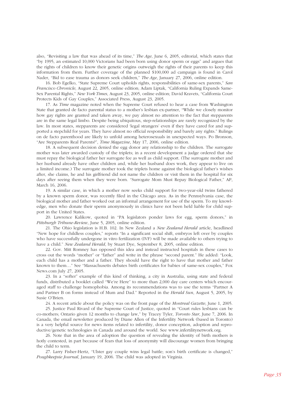also, "Revisiting a law that was ahead of its time," *The Age*, June 6, 2005, editorial, which states that "by 1995, an estimated 10,000 Victorians had been born using donor sperm or eggs" and argues that the rights of children to know their genetic origins outweigh the rights of their parents to keep this information from them. Further coverage of the planned \$100,000 ad campaign is found in Carol Nader, "Bid to ease trauma as donors seek children," *The Age*, January 27, 2006, online edition.

16. Bob Egelko, "State Supreme Court upholds rights, responsibilities of same-sex parents," *San Francisco Chronicle*, August 22, 2005, online edition; Adam Liptak, "California Ruling Expands Same-Sex Parental Rights," *New York Times*, August 23, 2005, online edition; David Kravets, "California Court Protects Kids of Gay Couples," Associated Press, August 23, 2005.

17. As *Time* magazine noted when the Supreme Court refused to hear a case from Washington State that granted de facto parental status to a mother's lesbian ex-partner, "While we closely monitor how gay rights are granted and taken away, we pay almost no attention to the fact that stepparents are in the same legal limbo. Despite being ubiquitous, step-relationships are rarely recognized by the law. In most states, stepparents are considered 'legal strangers' even if they have cared for and supported a stepchild for years. They have almost no official responsibility and barely any rights." Rulings on de facto parenthood are likely to unfold among heterosexuals in unexpected ways. Po Bronson, "Are Stepparents Real Parents?", *Time Magazine*, May 17, 2006, online edition.

18. A subsequent decision denied the egg donor any relationship to the children. The surrogate mother was later awarded custody of the triplets; in a recent development a judge ordered that she must repay the biological father her surrogate fee as well as child support. (The surrogate mother and her husband already have other children and, while her husband does work, they appear to live on a limited income.) The surrogate mother took the triplets home against the biological father's wishes after, she claims, he and his girlfriend did not name the children or visit them in the hospital for six days after seeing them when they were born. "Surrogate Mom Must Repay Biological Father," AP, March 16, 2006.

19. A similar case, in which a mother now seeks child support for two-year-old twins fathered by a known sperm donor, was recently filed in the Chicago area. As in the Pennsylvania case, the biological mother and father worked out an informal arrangement for use of the sperm. To my knowledge, men who donate their sperm anonymously in clinics have not been held liable for child support in the United States.

20. Lawrence Kalikow, quoted in "PA legislators ponder laws for egg, sperm donors," in *Pittsburgh Tribune-Review*, June 5, 2005, online edition.

21. The Ohio legislation is H.B. 102. In New Zealand a *New Zealand Herald* article, headlined "New hope for childless couples," reports "In a significant social shift, embryos left over by couples who have successfully undergone in vitro fertilization (IVF) will be made available to others trying to have a child." *New Zealand Herald*, by Stuart Dye, September 8, 2005, online edition.

22. Gov. Mitt Romney has opposed this idea and instead instructed hospitals in these cases to cross out the words "mother" or "father" and write in the phrase "second parent." He added: "Look, each child has a mother and a father. They should have the right to have that mother and father known to them…" See "Massachusetts debates birth certificates for babies of same-sex couples," Fox News.com July 27, 2005.

23. In a "softer" example of this kind of thinking, a city in Australia, using state and federal funds, distributed a booklet called "We're Here" to more than 2,000 day care centers which encouraged staff to challenge homophobia. Among its recommendations was to use the terms "Partner A and Partner B on forms instead of Mum and Dad." Reported in the *Herald Sun*, August 5, 2005, by Susie O'Brien.

24. A recent article about the policy was on the front page of the *Montreal Gazette*, June 1, 2005.

25. Justice Paul Rivard of the Supreme Court of Justice, quoted in "Court rules lesbians can be co-mothers; Ontario given 12 months to change law," by Tracey Tyler, *Toronto Star*, June 7, 2006. In Canada, the email newsletter produced by Diane Allen of the Infertility Network (based in Toronto) is a very helpful source for news items related to infertility, donor conception, adoption and reproductive/genetic technologies in Canada and around the world. See www.infertilitynetwork.org.

26. Note that in the area of adoption the question of revealing the identity of birth mothers is hotly contested, in part because of fears that loss of anonymity will discourage women from bringing the child to term.

27. Larry Fisher-Hertz, "Ulster gay couple wins legal battle; son's birth certificate is changed," *Poughkeepsie Journal*, January 19, 2006. The child was adopted in Virginia.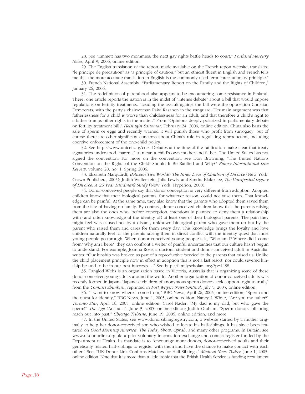28. See "Emmett has two mommies: the next gay rights battle heads to court," *Portland Mercury News*, April 9, 2006, online edition.

29. The English translation of the report, made available on the French report website, translated "le principe de precaution" as "a principle of caution," but an ethicist fluent in English and French tells me that the more accurate translation in English is the commonly used term "precautionary principle."

30. French National Assembly, "Parliamentary Report on the Family and the Rights of Children," January 26, 2006.

31. The redefinition of parenthood also appears to be encountering some resistance in Finland. There, one article reports the nation is in the midst of "intense debate" about a bill that would impose regulations on fertility treatments. "Leading the assault against the bill were the opposition Christian Democrats, with the party's chairwoman Paivi Rasanen in the vanguard. Her main argument was that fatherlessness for a child is worse than childlessness for an adult, and that therefore a child's right to a father trumps other rights in the matter." From "Opinions deeply polarized in parliamentary debate on fertility treatment bill," *Helsingin Sanomat*, February 24, 2006, online edition. China also bans the sale of sperm or eggs and recently warned it will punish those who profit from surrogacy, but of course there are other significant concerns about China's role in regulating reproduction, including coercive enforcement of the one-child policy.

32. See http://www.unicef.org/crc/. Debates at the time of the ratification make clear that treaty signatories understood "parents" to mean a child's own mother and father. The United States has not signed the convention. For more on the convention, see Don Browning, "The United Nations Convention on the Rights of the Child: Should It Be Ratified and Why?" *Emory International Law Review*, volume 20, no. 1, Spring 2006.

33. Elizabeth Marquardt, *Between Two Worlds: The Inner Lives of Children of Divorce* (New York: Crown Publishers, 2005); Judith Wallerstein, Julia Lewis, and Sandra Blakeslee, *The Unexpected Legacy of Divorce: A 25 Year Landmark Study* (New York: Hyperion, 2000).

34. Donor-conceived people say that donor conception is very different from adoption. Adopted children know that their biological parents, for whatever reason, could not raise them. That knowledge can be painful. At the same time, they also know that the parents who adopted them saved them from the fate of having no family. By contrast, donor-conceived children know that the parents raising them are also the ones who, before conception, intentionally planned to deny them a relationship with (and often knowledge of the identity of) at least one of their biological parents. The pain they might feel was caused not by a distant, unknown biological parent who gave them up but by the parent who raised them and cares for them every day. This knowledge brings the loyalty and love children naturally feel for the parents raising them in direct conflict with the identity quest that most young people go through. When donor-conceived young people ask, "Who am I? Where did I come from? Why am I here?" they can confront a welter of painful uncertainties that our culture hasn't begun to understand. For example, Joanna Rose, a doctoral student and donor-conceived adult in Australia, writes: "Our kinship was broken as part of a reproductive 'service' to the parents that raised us. Unlike the child placement principle now in effect in adoption this is not a last resort, nor could severed kinship be said to be in our best interests…." See http://familyscholars.org/?p=4488.

35. Tangled Webs is an organization based in Victoria, Australia that is organizing some of these donor-conceived young adults around the world. Another organization of donor-conceived adults was recently formed in Japan: "Japanese children of anonymous sperm donors seek support, right to truth," from the *Yomiuri Shimbun*, reprinted in *Fort Wayne News Sentinel*, July 5, 2005, online edition.

36. "I want to know where I come from," BBC News, April 26, 2005, online edition; "Sperm and the quest for identity," BBC News, June 1, 2005, online edition; Nancy J. White, "Are you my father?" *Toronto Star*, April 16, 2005, online edition; Carol Nader, "My dad is my dad, but who gave the sperm?" *The Age* (Australia), June 3, 2005, online edition; Judith Graham, "Sperm donors' offspring reach out into past," *Chicago Tribune*, June 19, 2005, online edition, and more.

37. In the United States, see www.donorsiblingregistry.com, a website started by a mother originally to help her donor-conceived son who wished to locate his half-siblings. It has since been featured on *Good Morning America*, *The Today Show*, *Oprah*, and many other programs. In Britain, see www.ukdonorlink.org.uk, a pilot voluntary information exchange and contact register funded by the Department of Health. Its mandate is to "encourage more donors, donor-conceived adults and their genetically related half-siblings to register with them and have the chance to make contact with each other." See, "UK Donor Link Confirms Matches for Half-Siblings," *Medical News Today*, June 1, 2005, online edition. Note that it is more than a little ironic that the British Health Service is funding recruitment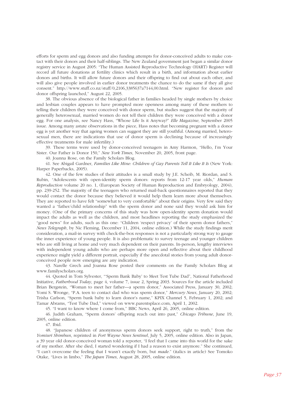efforts for sperm and egg donors and also funding attempts for donor-conceived adults to make contact with their donors and their half-siblings. The New Zealand government just began a similar donor registry service in August 2005: "The Human Assisted Reproductive Technology (HART) Register will record all future donations at fertility clinics which result in a birth, and information about earlier donors and births. It will allow future donors and their offspring to find out about each other, and will also give people involved in earlier donor treatments the chance to do the same if they all give consent." http://www.stuff.co.nz/stuff/0,2106,3385637a7144,00.html. "New register for donors and donor offspring launched," August 22, 2005.

38. The obvious absence of the biological father in families headed by single mothers by choice and lesbian couples appears to have prompted more openness among many of these mothers to telling their children they were conceived with donor sperm, but studies suggest that the majority of generally heterosexual, married women do not tell their children they were conceived with a donor egg. For one analysis, see Nancy Hass, "Whose Life Is it Anyway?" *Elle Magazine*, September 2005 issue. Among many astute observations in the piece, Hass notes that becoming pregnant with a donor egg is yet another way that ageing women can suggest they are still youthful. (Among married, heterosexual men, there are indications that use of donor sperm is declining because of increasingly effective treatments for male infertility.)

39. These terms were used by donor-conceived teenagers in Amy Harmon, "Hello, I'm Your Sister. Our Father is Donor 150," *New York Times*, November 20, 2005, front page.

40. Joanna Rose, on the Family Scholars Blog.

41. See Abigail Gardner, *Families Like Mine: Children of Gay Parents Tell It Like It Is* (New York: Harper Paperbacks, 2005).

42. One of the few studies of their attitudes is a small study by J.E. Scheib, M. Riordan, and S. Rubin, "Adolescents with open-identity sperm donors: reports from 12-17 year olds," *Human Reproduction* volume 20 no. 1, (European Society of Human Reproduction and Embryology, 2004), pp. 239-252. The majority of the teenagers who returned mail-back questionnaires reported that they would contact the donor because they believed it would help them learn more about themselves. They are reported to have felt "somewhat to very comfortable" about their origins. Very few said they wanted a "father/child relationship" with the sperm donor and none said they would ask him for money. (One of the primary concerns of this study was how open-identity sperm donation would impact the adults as well as the children, and most headlines reporting the study emphasized the "good news" for adults, such as this one: "Children 'respect privacy' of their sperm donor fathers," *News Telegraph*, by Nic Fleming, December 11, 2004, online edition.) While the study findings merit consideration, a mail-in survey with check-the-box responses is not a particularly strong way to gauge the inner experience of young people. It is also problematic to survey teenage and younger children who are still living at home and very much dependent on their parents. In-person, lengthy interviews with independent young adults who are perhaps more open and reflective about their childhood experience might yield a different portrait, especially if the anecdotal stories from young adult donorconceived people now emerging are any indication.

43. Narelle Grech and Joanna Rose posted their comments on the Family Scholars Blog at www.familyscholars.org.

44. Quoted in Tom Sylvester, "'Sperm Bank Baby' to Meet Test Tube Dad", National Fatherhood Initiative, *Fatherhood Today*, page 4, volume 7, issue 2, Spring 2003. Sources for the article included Brian Bergstein, "Woman to meet her father—a sperm donor," Associated Press, January 30, 2002; Yomi S. Wronge, "P.A. teen to contact dad who was sperm donor," *Mercury News*, January 20, 2002; Trisha Carlson, "Sperm bank baby to learn donor's name," KPIX Channel 5, February 1, 2002; and Tamar Abrams, "Test Tube Dad," viewed on www.parentsplace.com, April 1, 2002.

45. "I want to know where I come from," BBC News, April 26, 2005, online edition.

46. Judith Graham, "Sperm donors' offspring reach out into past," *Chicago Tribune*, June 19, 2005, online edition.

47. Ibid.

48. "Japanese children of anonymous sperm donors seek support, right to truth," from the *Yomiuri Shimbun*, reprinted in *Fort Wayne News Sentinel*, July 5, 2005, online edition. Also in Japan, a 39 year old donor-conceived woman told a reporter, "I feel that I came into this world for the sake of my mother. After she died, I started wondering if I had a reason to exist anymore." She continued, "I can't overcome the feeling that I wasn't exactly born, but *made*." (italics in article) See Tomoko Otake, "Lives in limbo," *The Japan Times*, August 28, 2005, online edition.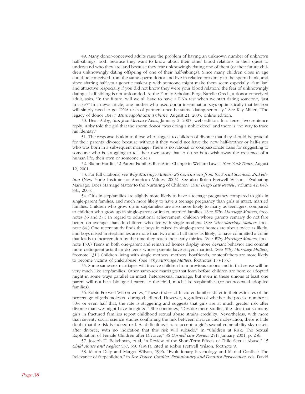49. Many donor-conceived adults raise the problem of having an unknown number of unknown half-siblings, both because they want to know about their other blood relations in their quest to understand who they are, and because they fear unknowingly dating one of them (or their future children unknowingly dating offspring of one of their half-siblings). Since many children close in age could be conceived from the same sperm donor and live in relative proximity to the sperm bank, and since sharing half your genetic make-up with someone might make them seem especially "familiar" and attractive (especially if you did not know they were your blood relation) the fear of unknowingly dating a half-sibling is not unfounded. At the Family Scholars Blog, Narelle Grech, a donor-conceived adult, asks, "In the future, will we all have to have a DNA test when we start dating someone, 'just in case'?" In a news article, one mother who used donor insemination says optimistically that her son will simply need to get DNA tests of partners once he starts "dating seriously." See Kay Miller, "The legacy of donor 1047," *Minneapolis Star Tribune*, August 21, 2005, online edition.

50. Dear Abby, *San Jose Mercury News*, January 2, 2005, web edition. In a terse, two sentence reply, Abby told the girl that the sperm donor "was doing a noble deed" and there is "no way to trace his identity."

51. The response is akin to those who suggest to children of divorce that they should be grateful for their parents' divorce because without it they would not have the new half-brother or half-sister who was born in a subsequent marriage. There is no rational or compassionate basis for suggesting to someone who is struggling to tell their own story that to do so is to wish away the existence of a human life, their own or someone else's.

52. Blaine Hardin, "2-Parent Families Rise After Change in Welfare Laws," *New York Times*, August 12, 2001.

53. For full citations, see *Why Marriage Matters: 26 Conclusions from the Social Sciences, 2nd edition* (New York: Institute for American Values, 2005). See also Robin Fretwell Wilson, "Evaluating Marriage: Does Marriage Matter to the Nurturing of Children" (*San Diego Law Review*, volume 42: 847- 881, 2005).

54. Girls in stepfamilies are slightly more likely to have a teenage pregnancy compared to girls in single-parent families, and much more likely to have a teenage pregnancy than girls in intact, married families. Children who grow up in stepfamilies are also more likely to marry as teenagers, compared to children who grow up in single-parent or intact, married families. (See *Why Marriage Matters*, footnotes 36 and 37.) In regard to educational achievement, children whose parents remarry do not fare better, on average, than do children who live with single mothers. (See *Why Marriage Matters*, footnote 84.) One recent study finds that boys in raised in single-parent homes are about twice as likely, and boys raised in stepfamilies are more than two and a half times as likely, to have committed a crime that leads to incarceration by the time they reach their early thirties. (See *Why Marriage Matters*, footnote 130.) Teens in both one-parent and remarried homes display more deviant behavior and commit more delinquent acts than do teens whose parents have stayed married. (See *Why Marriage Matters*, footnote 131.) Children living with single mothers, mothers' boyfriends, or stepfathers are more likely to become victims of child abuse. (See *Why Marriage Matters*, footnotes 153-155.)

55. Some same-sex marriages will involve children from previous unions and in that sense will be very much like stepfamilies. Other same-sex marriages that form before children are born or adopted might in some ways parallel an intact, heterosexual marriage, but even in these unions at least one parent will not be a biological parent to the child, much like stepfamilies (or heterosexual adoptive families).

56. Robin Fretwell Wilson writes, "These studies of fractured families differ in their estimates of the percentage of girls molested during childhood. However, regardless of whether the precise number is 50% or even half that, the rate is staggering and suggests that girls are at much greater risk after divorce than we might have imagined." She continues, "Despite these studies, the idea that so many girls in fractured families report childhood sexual abuse strains credulity. Nevertheless, with more than seventy social science studies confirming the link between divorce and molestation, there is little doubt that the risk is indeed real. As difficult as it is to accept, a girl's sexual vulnerability skyrockets after divorce, with no indication that this risk will subside." In "Children at Risk: The Sexual Exploitation of Female Children after Divorce," 86 *Cornell Law Review* 251: January 2001, p. 256.

57. Joseph H. Beitchman, et al, "A Review of the Short-Term Effects of Child Sexual Abuse," 15 *Child Abuse and Neglect* 537, 550 (1991), cited in Robin Fretwell Wilson, footnote 9.

58. Martin Daly and Margot Wilson, 1996. "Evolutionary Psychology and Marital Conflict: The Relevance of Stepchildren," in *Sex, Power, Conflict: Evolutionary and Feminist Perspectives*, eds. David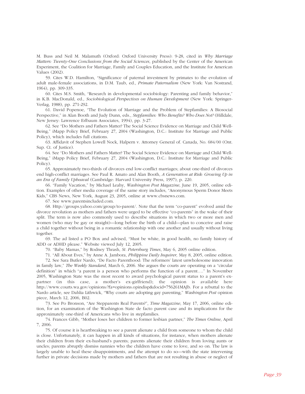M. Buss and Neil M. Malamuth (Oxford: Oxford University Press): 9-28, cited in *Why Marriage Matters: Twenty-One Conclusions from the Social Sciences*, published by the Center of the American Experiment, the Coalition for Marriage, Family and Couples Education, and the Institute for American Values (2002).

59. Cites W.D. Hamilton, "Significance of paternal investment by primates to the evolution of adult male-female associations, in D.M. Taub, ed., *Primate Paternalism* (New York: Van Nostrand, 1964), pp. 309-335.

60. Cites M.S. Smith, "Research in developmental sociobiology: Parenting and family behavior," in K.B. MacDonald, ed., *Sociobiological Perspectives on Human Development* (New York: Springer-Verlag, 1988), pp. 271-292.

61. David Popenoe, "The Evolution of Marriage and the Problem of Stepfamilies: A Biosocial Perspective," in Alan Booth and Judy Dunn, eds., *Stepfamilies: Who Benefits? Who Does Not?* (Hilldale, New Jersey: Lawrence Erlbaum Associates, 1994), pp. 3-27.

62. See "Do Mothers and Fathers Matter? The Social Science Evidence on Marriage and Child Well-Being," iMapp Policy Brief, February 27, 2004 (Washington, D.C.: Institute for Marriage and Public Policy), which includes full citations.

63. Affidavit of Stephen Lowell Nock, Halpern v. Attorney General of. Canada, No. 684/00 (Ont. Sup. Ct. of Justice).

64. See "Do Mothers and Fathers Matter? The Social Science Evidence on Marriage and Child Well-Being," iMapp Policy Brief, February 27, 2004 (Washington, D.C.: Institute for Marriage and Public Policy).

65. Approximately two-thirds of divorces end low-conflict marriages; about one-third of divorces end high-conflict marriages. See Paul R. Amato and Alan Booth, *A Generation at Risk: Growing Up in an Era of Family Upheaval* (Cambridge: Harvard University Press, 1997), p. 220.

66. "Family Vacation," by Michael Leahy, *Washington Post Magazine*, June 19, 2005, online edition. Examples of other media coverage of the same story includes, "Anonymous Sperm Donor Meets Kids," CBS News, New York, August 23, 2005, online at www.cbsnews.com.

67. See www.parentsincluded.com.

68. Http://groups.yahoo.com/group/to-parent/. Note that the term "co-parent" evolved amid the divorce revolution as mothers and fathers were urged to be effective "co-parents" in the wake of their split. The term is now also commonly used to describe situations in which two or more men and women (who may be gay or straight)—long before the birth of a child—plan to conceive and raise a child together without being in a romantic relationship with one another and usually without living together.

69. The ad listed a PO Box and advised, "Must be white, in good health, no family history of ADD or ADHD please." Website viewed July 12, 2005.

70. "Baby Mamas," by Rodney Thrash, *St. Petersburg Times*, May 6, 2005 online edition.

71. "All About Eves," by Anne A. Jambora, *Philippine Daily Inquirer,* May 8, 2005, online edition.

72. See Sara Butler Nardo, "De Facto Parenthood: The reformers' latest unwholesome innovation in family law," *The Weekly Standard*, March 6, 2006. She argues the courts are operating on a "circular definition" in which "a parent is a person who performs the function of a parent…." In November 2005, Washington State was the most recent to award psychological parent status to a parent's expartner (in this case, a mother's ex-girlfriend); the opinion is available here http://www.courts.wa.gov/opinions/?fa=opinions.opindisp&docid=756261MAJb. For a rebuttal to the Nardo article, see Dahlia Lithwick, "Why courts are adopting gay parenting," *Washington Post* opinion piece, March 12, 2006, B02.

73. See Po Bronson, "Are Stepparents Real Parents?", *Time Magazine*, May 17, 2006, online edition, for an examination of the Washington State de facto parent case and its implications for the approximately one-third of Americans who live in stepfamilies.

74. Frances Gibb, "Mother loses her children to former lesbian partner," *The Times Online*, April 7, 2006.

75. Of course it is heartbreaking to see a parent alienate a child from someone to whom the child is close. Unfortunately, it can happen in all kinds of situations, for instance, when mothers alienate their children from their ex-husband's parents; parents alienate their children from loving aunts or uncles; parents abruptly dismiss nannies who the children have come to love, and so on. The law is largely unable to heal these disappointments, and the attempt to do so—with the state intervening further in private decisions made by mothers and fathers that are not resulting in abuse or neglect of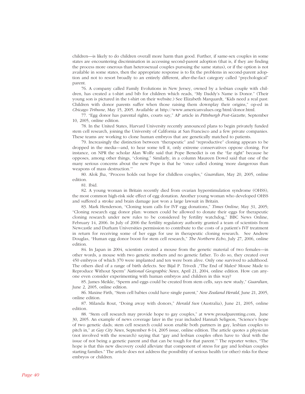children—is likely to do children overall more harm than good. Further, if same-sex couples in some states are encountering discrimination in accessing second-parent adoption (that is, if they are finding the process more onerous than heterosexual couples pursuing the same status), or if the option is not available in some states, then the appropriate response is to fix the problems in second-parent adoption and not to resort broadly to an entirely different, after-the-fact category called "psychological" parent.

76. A company called Family Evolutions in New Jersey, owned by a lesbian couple with children, has created a t-shirt and bib for children which reads, "My Daddy's Name is Donor." (Their young son is pictured in the t-shirt on their website.) See Elizabeth Marquardt, "Kids need a real past: Children with donor parents suffer when those raising them downplay their origins," op-ed in *Chicago Tribune*, May 15, 2005. Available at http://www.americanvalues.org/html/donor.html.

77. "Egg donor has parental rights, courts say," AP article in *Pittsburgh Post-Gazette*, September 10, 2005, online edition.

78. In the United States, Harvard University recently announced plans to begin privately funded stem cell research, joining the University of California at San Francisco and a few private companies. These teams are working to clone human embryos that are genetically matched to patients.

79. Increasingly the distinction between "therapeutic" and "reproductive" cloning appears to be dropped in the media—and, to hear some tell it, only extreme conservatives oppose cloning. For instance, on NPR the scholar Alan Wolfe said that Pope Benedict is on the "far right" because he opposes, among other things, "cloning." Similarly, in a column Maureen Dowd said that one of the many serious concerns about the new Pope is that he "once called cloning 'more dangerous than weapons of mass destruction.'"

80. Alok Jha, "Process holds out hope for childless couples," *Guardian*, May 20, 2005, online edition.

81. Ibid.

82. A young woman in Britain recently died from ovarian hyperstimulation syndrome (OHSS), the most common high-risk side effect of egg donation. Another young woman who developed OHSS and suffered a stroke and brain damage just won a large lawsuit in Britain.

83. Mark Henderson, "Cloning team calls for IVF egg donations," *Times Online*, May 31, 2005; "Cloning research egg donor plan: women could be allowed to donate their eggs for therapeutic cloning research under new rules to be considered by fertility watchdog," BBC News Online, February 14, 2006. In July of 2006 the fertility regulatory authority granted a team of scientists from Newcastle and Durham Universities permission to contribute to the costs of a patient's IVF treatment in return for receiving some of her eggs for use in therapeutic cloning research. See Andrew Douglas, "Human egg donor boost for stem cell research," *The Northern Echo*, July 27, 2006, online edition.

84. In Japan in 2004, scientists created a mouse from the genetic material of two females—in other words, a mouse with two genetic mothers and no genetic father. To do so, they created over 450 embryos of which 370 were implanted and ten were born alive. Only one survived to adulthood. The others died of a range of birth defects. See Bijal P. Trivedi ,"The End of Males? Mouse Made to Reproduce Without Sperm" *National Geographic News*, April 21, 2004, online edition. How can anyone even consider experimenting with human embryos and children in this way?

85. James Meikle, "Sperm and eggs could be created from stem cells, says new study," *Guardian*, June 2, 2005, online edition.

86. Maxine Firth, "Stem cell babies could have single parent," *New Zealand Herald*, June 21, 2005, online edition.

87. Milanda Rout, "Doing away with donors," *Herald Sun* (Australia), June 21, 2005, online edition.

88. "Stem cell research may provide hope to gay couples," at www.proudparenting.com, June 30, 2005. An example of news coverage later in the year included Hannah Seligson, "Science's hope of two genetic dads; stem cell research could soon enable both partners in gay, lesbian couples to pitch in," at *Gay City News*, September 8-14, 2005 issue, online edition. The article quotes a physician (not involved with the research) saying that "gay and lesbian couples often have to 'deal with the issue of not being a genetic parent and that can be tough for that parent.'" The reporter writes, "The hope is that this new discovery could alleviate that component of stress for gay and lesbian couples starting families." The article does not address the possibility of serious health (or other) risks for these embryos or children.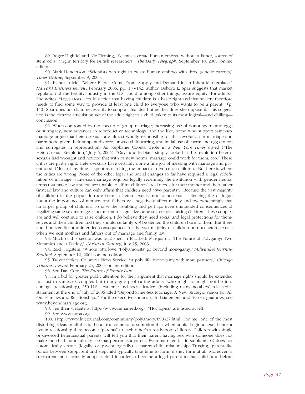89. Roger Highfiel and Nic Fleming, "Scientists create human embryo without a father; source of stem cells: 'virgin' territory for British researchers," *The Daily Telegraph*, September 10, 2005, online edition.

90. Mark Henderson, "Scientists win right to create human embryo with three genetic parents," *Times Online*, September 9, 2005.

91. In her article, "Where Babies Come From: Supply and Demand in an Infant Marketplace," *Harvard Business Review*, February 2006, pp. 133-142, author Debora L. Spar suggests that market regulation of the fertility industry in the U.S. could, among other things, assure equity (for adults). She writes, "Legislators…could decide that having children is a basic right and that society therefore needs to find some way to provide at least one child to everyone who wants to be a parent." (p. 140) Spar does not claim necessarily to support this idea but neither does she oppose it. This suggestion is the clearest articulation yet of the adult right to a child, taken to its most logical—and chilling conclusion.

92. When confronted by the specter of group marriage; increasing use of donor sperm and eggs or surrogacy; new advances in reproductive technology, and the like, some who support same-sex marriage argue that heterosexuals are almost wholly responsible for this revolution in marriage and parenthood given their rampant divorce, unwed childbearing, and initial use of sperm and egg donors and surrogates in reproduction. As Stephanie Coontz wrote in a *New York Times* op-ed ("The Heterosexual Revolution," July 5, 2005), "Gays and lesbians simply looked at the revolution heterosexuals had wrought and noticed that with its new norms, marriage could work for them, too." These critics are partly right. Heterosexuals have certainly done a fine job of messing with marriage and parenthood. (Most of my time is spent researching the impact of divorce on children.) But here is where the critics are wrong: None of the other legal and social changes so far have required a legal redefinition of marriage. Same-sex marriage requires legally redefining the institution with gender neutral terms that make law and culture unable to affirm children's real needs for their mother and their father (instead law and culture can only affirm that children need "two parents"). Because the vast majority of children in the population are born to heterosexuals, not homosexuals, silencing the dialogue about the importance of mothers and fathers will negatively affect mainly and overwhelmingly that far larger group of children. To raise the troubling and perhaps even unintended consequences of legalizing same-sex marriage is not meant to stigmatize same-sex couples raising children. These couples are and will continue to raise children. I do believe they need social and legal protections for themselves and their children and they should certainly *not* be denied the children born to them. But there could be significant unintended consequences for the vast majority of children born to heterosexuals when we edit mothers and fathers out of marriage and family law.

93. Much of this section was published in Elizabeth Marquardt, "The Future of Polygamy: Two Mommies and a Daddy," *Christian Century*, July 25, 2006.

94. Reid J. Epstein, "Whole lotta love; 'Polyamorists' go beyond monogamy," *Milwaukee Journal-Sentinel*, September 12, 2004, online edition.

95. Trevor Stokes, Columbia News Service, "A poly life: monogamy with more partners," *Chicago Tribune*, viewed February 24, 2006, online edition.

96. See Dan Cere, *The Future of Family Law*.

97. In a bid for greater public attention for their argument that marriage rights should be extended not just to same-sex couples but to any group of caring adults (who might or might not be in a conjugal relationship), 250 U.S. academic and social leaders (including many notables) released a statement at the end of July of 2006 titled "Beyond Same-Sex Marriage: A New Strategic Vision For All Our Families and Relationships." For the executive summary, full statement, and list of signatories, see www.beyondmarriage.org.

98. See their website at http://www.unmarried.org/. "Hot topics" are listed at left.

99. See www.uupa.org.

100. Http://www.livejournal.com/community/polyamory/890327.html. For me, one of the most disturbing ideas in all this is the all-too-common assumption that when adults begin a sexual and/or live-in relationship they become "parents" to each other's already-born children. Children with single or divorced heterosexual parents will tell you that their parent having sex with someone does not make the child automatically see that person as a parent. Even marriage (as in stepfamilies) does not automatically create (legally or psychologically) a parent-child relationship. Trusting, parent-like bonds between stepparent and stepchild typically take time to form, if they form at all. Moreover, a stepparent must formally adopt a child in order to become a legal parent to that child (and before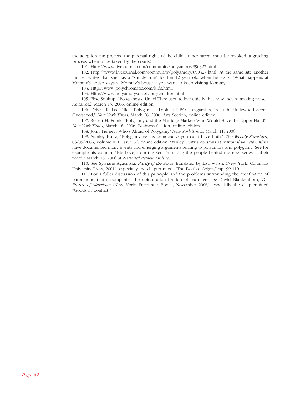the adoption can proceed the parental rights of the child's other parent must be revoked, a grueling process when undertaken by the courts).

101. Http://www.livejournal.com/community/polyamory/890327.html.

102. Http://www.livejournal.com/community/polyamory/890327.html. At the same site another mother writes that she has a "simple rule" for her 12 year old when he visits: "What happens at Mommy's house stays at Mommy's house if you want to keep visiting Mommy."

103. Http://www.polychromatic.com/kids.html.

104. Http://www.polyamorysociety.org/children.html.

105. Elise Soukup, "Polygamists, Unite! They used to live quietly, but now they're making noise," *Newsweek*, March 15, 2006, online edition.

106. Felicia R. Lee, "Real Polygamists Look at HBO Polygamists; In Utah, Hollywood Seems Oversexed," *New York Times*, March 28, 2006, Arts Section, online edition.

107. Robert H. Frank, "Polygamy and the Marriage Market: Who Would Have the Upper Hand?," *New York Times*, March 16, 2006, Business Section, online edition.

108. John Tierney, Who's Afraid of Polygamy? *New York Times*, March 11, 2006.

109. Stanley Kurtz, "Polygamy versus democracy; you can't have both," *The Weekly Standard*, 06/05/2006, Volume 011, Issue 36, online edition. Stanley Kurtz's columns at *National Review Online* have documented many events and emerging arguments relating to polyamory and polygamy. See for example his column, "Big Love, from the Set: I'm taking the people behind the new series at their word," March 13, 2006 at *National Review Online*.

110. See Sylviane Agacinski, *Parity of the Sexes*, translated by Lisa Walsh, (New York: Columbia University Press, 2001), especially the chapter titled, "The Double Origin," pp. 99-110.

111. For a fuller discussion of this principle and the problems surrounding the redefinition of parenthood that accompanies the deinstitutionalization of marriage, see David Blankenhorn, *The Future of Marriage* (New York: Encounter Books, November 2006), especially the chapter titled "Goods in Conflict."